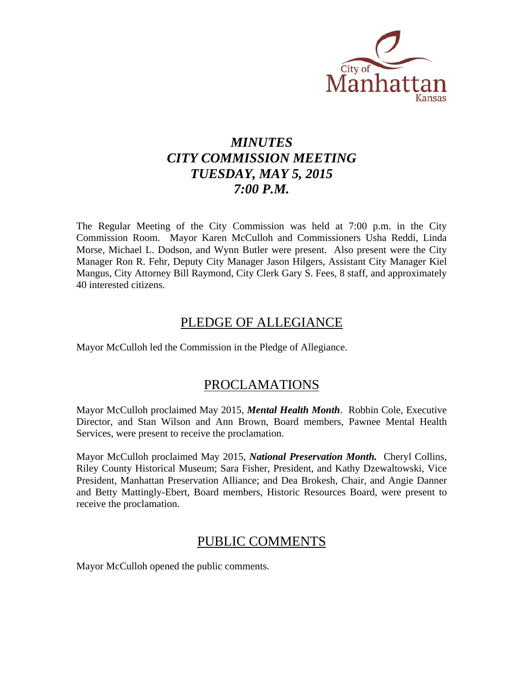

# *MINUTES CITY COMMISSION MEETING TUESDAY, MAY 5, 2015 7:00 P.M.*

The Regular Meeting of the City Commission was held at 7:00 p.m. in the City Commission Room. Mayor Karen McCulloh and Commissioners Usha Reddi, Linda Morse, Michael L. Dodson, and Wynn Butler were present. Also present were the City Manager Ron R. Fehr, Deputy City Manager Jason Hilgers, Assistant City Manager Kiel Mangus, City Attorney Bill Raymond, City Clerk Gary S. Fees, 8 staff, and approximately 40 interested citizens.

# PLEDGE OF ALLEGIANCE

Mayor McCulloh led the Commission in the Pledge of Allegiance.

# PROCLAMATIONS

Mayor McCulloh proclaimed May 2015, *Mental Health Month*. Robbin Cole, Executive Director, and Stan Wilson and Ann Brown, Board members, Pawnee Mental Health Services, were present to receive the proclamation.

Mayor McCulloh proclaimed May 2015, *National Preservation Month.* Cheryl Collins, Riley County Historical Museum; Sara Fisher, President, and Kathy Dzewaltowski, Vice President, Manhattan Preservation Alliance; and Dea Brokesh, Chair, and Angie Danner and Betty Mattingly-Ebert, Board members, Historic Resources Board, were present to receive the proclamation.

# PUBLIC COMMENTS

Mayor McCulloh opened the public comments.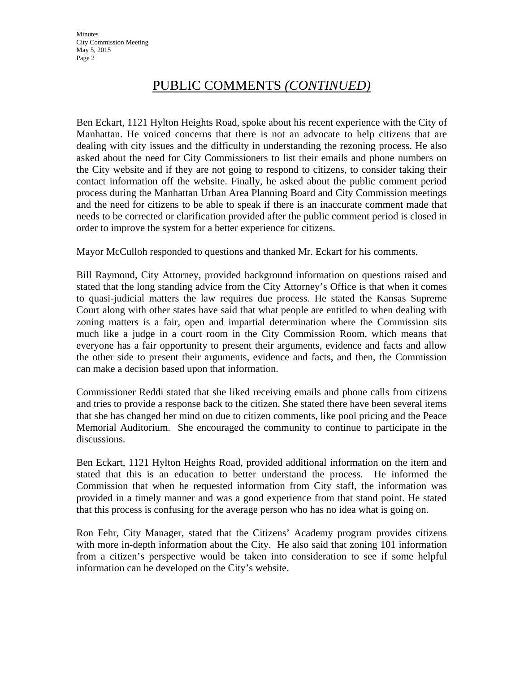# PUBLIC COMMENTS *(CONTINUED)*

Ben Eckart, 1121 Hylton Heights Road, spoke about his recent experience with the City of Manhattan. He voiced concerns that there is not an advocate to help citizens that are dealing with city issues and the difficulty in understanding the rezoning process. He also asked about the need for City Commissioners to list their emails and phone numbers on the City website and if they are not going to respond to citizens, to consider taking their contact information off the website. Finally, he asked about the public comment period process during the Manhattan Urban Area Planning Board and City Commission meetings and the need for citizens to be able to speak if there is an inaccurate comment made that needs to be corrected or clarification provided after the public comment period is closed in order to improve the system for a better experience for citizens.

Mayor McCulloh responded to questions and thanked Mr. Eckart for his comments.

Bill Raymond, City Attorney, provided background information on questions raised and stated that the long standing advice from the City Attorney's Office is that when it comes to quasi-judicial matters the law requires due process. He stated the Kansas Supreme Court along with other states have said that what people are entitled to when dealing with zoning matters is a fair, open and impartial determination where the Commission sits much like a judge in a court room in the City Commission Room, which means that everyone has a fair opportunity to present their arguments, evidence and facts and allow the other side to present their arguments, evidence and facts, and then, the Commission can make a decision based upon that information.

Commissioner Reddi stated that she liked receiving emails and phone calls from citizens and tries to provide a response back to the citizen. She stated there have been several items that she has changed her mind on due to citizen comments, like pool pricing and the Peace Memorial Auditorium. She encouraged the community to continue to participate in the discussions.

Ben Eckart, 1121 Hylton Heights Road, provided additional information on the item and stated that this is an education to better understand the process. He informed the Commission that when he requested information from City staff, the information was provided in a timely manner and was a good experience from that stand point. He stated that this process is confusing for the average person who has no idea what is going on.

Ron Fehr, City Manager, stated that the Citizens' Academy program provides citizens with more in-depth information about the City. He also said that zoning 101 information from a citizen's perspective would be taken into consideration to see if some helpful information can be developed on the City's website.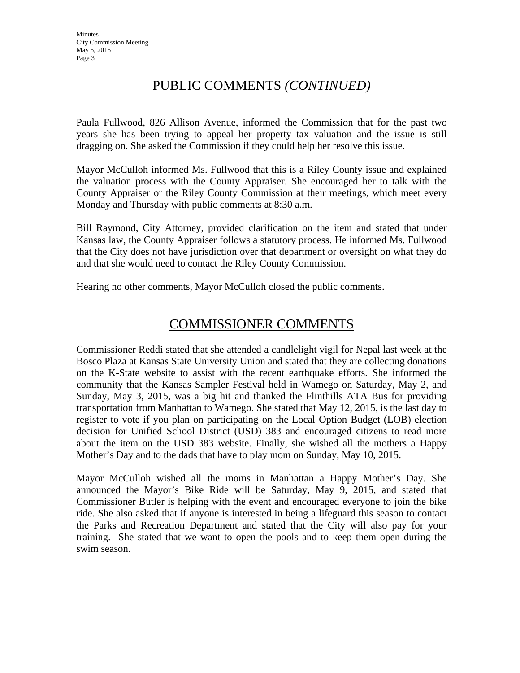# PUBLIC COMMENTS *(CONTINUED)*

Paula Fullwood, 826 Allison Avenue, informed the Commission that for the past two years she has been trying to appeal her property tax valuation and the issue is still dragging on. She asked the Commission if they could help her resolve this issue.

Mayor McCulloh informed Ms. Fullwood that this is a Riley County issue and explained the valuation process with the County Appraiser. She encouraged her to talk with the County Appraiser or the Riley County Commission at their meetings, which meet every Monday and Thursday with public comments at 8:30 a.m.

Bill Raymond, City Attorney, provided clarification on the item and stated that under Kansas law, the County Appraiser follows a statutory process. He informed Ms. Fullwood that the City does not have jurisdiction over that department or oversight on what they do and that she would need to contact the Riley County Commission.

Hearing no other comments, Mayor McCulloh closed the public comments.

# COMMISSIONER COMMENTS

Commissioner Reddi stated that she attended a candlelight vigil for Nepal last week at the Bosco Plaza at Kansas State University Union and stated that they are collecting donations on the K-State website to assist with the recent earthquake efforts. She informed the community that the Kansas Sampler Festival held in Wamego on Saturday, May 2, and Sunday, May 3, 2015, was a big hit and thanked the Flinthills ATA Bus for providing transportation from Manhattan to Wamego. She stated that May 12, 2015, is the last day to register to vote if you plan on participating on the Local Option Budget (LOB) election decision for Unified School District (USD) 383 and encouraged citizens to read more about the item on the USD 383 website. Finally, she wished all the mothers a Happy Mother's Day and to the dads that have to play mom on Sunday, May 10, 2015.

Mayor McCulloh wished all the moms in Manhattan a Happy Mother's Day. She announced the Mayor's Bike Ride will be Saturday, May 9, 2015, and stated that Commissioner Butler is helping with the event and encouraged everyone to join the bike ride. She also asked that if anyone is interested in being a lifeguard this season to contact the Parks and Recreation Department and stated that the City will also pay for your training. She stated that we want to open the pools and to keep them open during the swim season.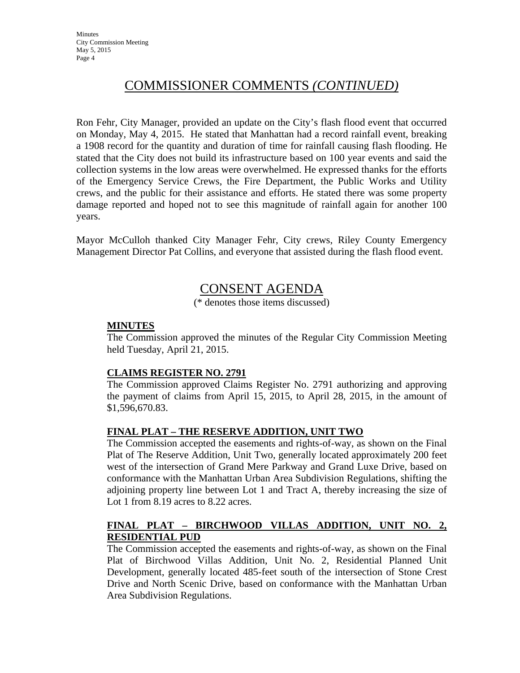# COMMISSIONER COMMENTS *(CONTINUED)*

Ron Fehr, City Manager, provided an update on the City's flash flood event that occurred on Monday, May 4, 2015. He stated that Manhattan had a record rainfall event, breaking a 1908 record for the quantity and duration of time for rainfall causing flash flooding. He stated that the City does not build its infrastructure based on 100 year events and said the collection systems in the low areas were overwhelmed. He expressed thanks for the efforts of the Emergency Service Crews, the Fire Department, the Public Works and Utility crews, and the public for their assistance and efforts. He stated there was some property damage reported and hoped not to see this magnitude of rainfall again for another 100 years.

Mayor McCulloh thanked City Manager Fehr, City crews, Riley County Emergency Management Director Pat Collins, and everyone that assisted during the flash flood event.

# CONSENT AGENDA

(\* denotes those items discussed)

## **MINUTES**

The Commission approved the minutes of the Regular City Commission Meeting held Tuesday, April 21, 2015.

### **CLAIMS REGISTER NO. 2791**

The Commission approved Claims Register No. 2791 authorizing and approving the payment of claims from April 15, 2015, to April 28, 2015, in the amount of \$1,596,670.83.

### **FINAL PLAT – THE RESERVE ADDITION, UNIT TWO**

The Commission accepted the easements and rights-of-way, as shown on the Final Plat of The Reserve Addition, Unit Two, generally located approximately 200 feet west of the intersection of Grand Mere Parkway and Grand Luxe Drive, based on conformance with the Manhattan Urban Area Subdivision Regulations, shifting the adjoining property line between Lot 1 and Tract A, thereby increasing the size of Lot 1 from 8.19 acres to 8.22 acres.

## **FINAL PLAT – BIRCHWOOD VILLAS ADDITION, UNIT NO. 2, RESIDENTIAL PUD**

The Commission accepted the easements and rights-of-way, as shown on the Final Plat of Birchwood Villas Addition, Unit No. 2, Residential Planned Unit Development, generally located 485-feet south of the intersection of Stone Crest Drive and North Scenic Drive, based on conformance with the Manhattan Urban Area Subdivision Regulations.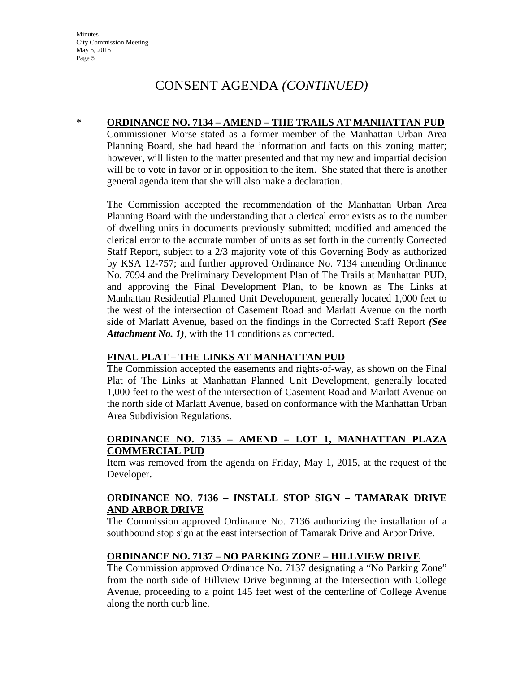# CONSENT AGENDA *(CONTINUED)*

### \* **ORDINANCE NO. 7134 – AMEND – THE TRAILS AT MANHATTAN PUD**

Commissioner Morse stated as a former member of the Manhattan Urban Area Planning Board, she had heard the information and facts on this zoning matter; however, will listen to the matter presented and that my new and impartial decision will be to vote in favor or in opposition to the item. She stated that there is another general agenda item that she will also make a declaration.

The Commission accepted the recommendation of the Manhattan Urban Area Planning Board with the understanding that a clerical error exists as to the number of dwelling units in documents previously submitted; modified and amended the clerical error to the accurate number of units as set forth in the currently Corrected Staff Report, subject to a 2/3 majority vote of this Governing Body as authorized by KSA 12-757; and further approved Ordinance No. 7134 amending Ordinance No. 7094 and the Preliminary Development Plan of The Trails at Manhattan PUD, and approving the Final Development Plan, to be known as The Links at Manhattan Residential Planned Unit Development, generally located 1,000 feet to the west of the intersection of Casement Road and Marlatt Avenue on the north side of Marlatt Avenue, based on the findings in the Corrected Staff Report *(See Attachment No. 1)*, with the 11 conditions as corrected.

### **FINAL PLAT – THE LINKS AT MANHATTAN PUD**

The Commission accepted the easements and rights-of-way, as shown on the Final Plat of The Links at Manhattan Planned Unit Development, generally located 1,000 feet to the west of the intersection of Casement Road and Marlatt Avenue on the north side of Marlatt Avenue, based on conformance with the Manhattan Urban Area Subdivision Regulations.

### **ORDINANCE NO. 7135 – AMEND – LOT 1, MANHATTAN PLAZA COMMERCIAL PUD**

Item was removed from the agenda on Friday, May 1, 2015, at the request of the Developer.

### **ORDINANCE NO. 7136 – INSTALL STOP SIGN – TAMARAK DRIVE AND ARBOR DRIVE**

The Commission approved Ordinance No. 7136 authorizing the installation of a southbound stop sign at the east intersection of Tamarak Drive and Arbor Drive.

### **ORDINANCE NO. 7137 – NO PARKING ZONE – HILLVIEW DRIVE**

The Commission approved Ordinance No. 7137 designating a "No Parking Zone" from the north side of Hillview Drive beginning at the Intersection with College Avenue, proceeding to a point 145 feet west of the centerline of College Avenue along the north curb line.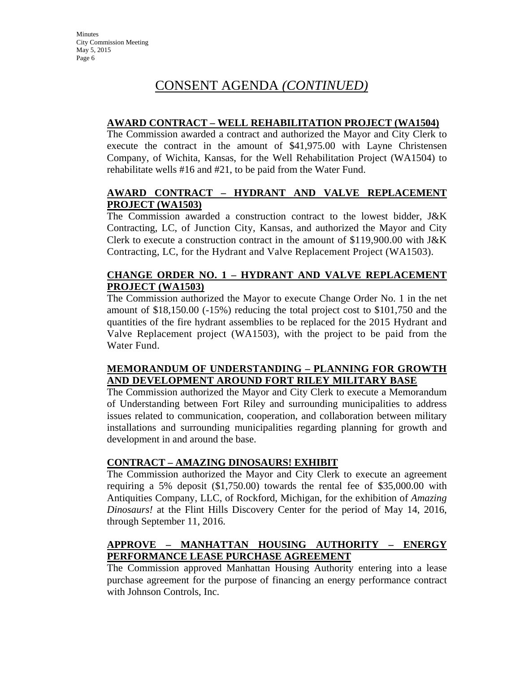# CONSENT AGENDA *(CONTINUED)*

### **AWARD CONTRACT – WELL REHABILITATION PROJECT (WA1504)**

The Commission awarded a contract and authorized the Mayor and City Clerk to execute the contract in the amount of \$41,975.00 with Layne Christensen Company, of Wichita, Kansas, for the Well Rehabilitation Project (WA1504) to rehabilitate wells #16 and #21, to be paid from the Water Fund.

### **AWARD CONTRACT – HYDRANT AND VALVE REPLACEMENT PROJECT (WA1503)**

The Commission awarded a construction contract to the lowest bidder, J&K Contracting, LC, of Junction City, Kansas, and authorized the Mayor and City Clerk to execute a construction contract in the amount of \$119,900.00 with J&K Contracting, LC, for the Hydrant and Valve Replacement Project (WA1503).

## **CHANGE ORDER NO. 1 – HYDRANT AND VALVE REPLACEMENT PROJECT (WA1503)**

The Commission authorized the Mayor to execute Change Order No. 1 in the net amount of \$18,150.00 (-15%) reducing the total project cost to \$101,750 and the quantities of the fire hydrant assemblies to be replaced for the 2015 Hydrant and Valve Replacement project (WA1503), with the project to be paid from the Water Fund.

### **MEMORANDUM OF UNDERSTANDING – PLANNING FOR GROWTH AND DEVELOPMENT AROUND FORT RILEY MILITARY BASE**

The Commission authorized the Mayor and City Clerk to execute a Memorandum of Understanding between Fort Riley and surrounding municipalities to address issues related to communication, cooperation, and collaboration between military installations and surrounding municipalities regarding planning for growth and development in and around the base.

## **CONTRACT – AMAZING DINOSAURS! EXHIBIT**

The Commission authorized the Mayor and City Clerk to execute an agreement requiring a 5% deposit (\$1,750.00) towards the rental fee of \$35,000.00 with Antiquities Company, LLC, of Rockford, Michigan, for the exhibition of *Amazing Dinosaurs!* at the Flint Hills Discovery Center for the period of May 14, 2016, through September 11, 2016.

## **APPROVE – MANHATTAN HOUSING AUTHORITY – ENERGY PERFORMANCE LEASE PURCHASE AGREEMENT**

The Commission approved Manhattan Housing Authority entering into a lease purchase agreement for the purpose of financing an energy performance contract with Johnson Controls, Inc.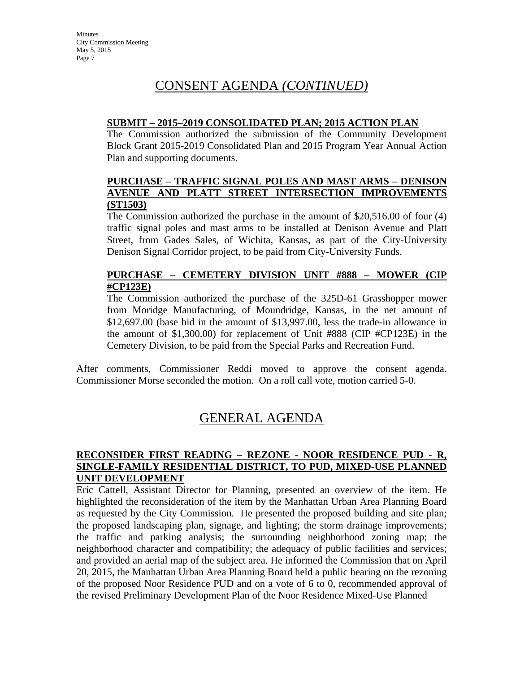# CONSENT AGENDA *(CONTINUED)*

### **SUBMIT – 2015–2019 CONSOLIDATED PLAN; 2015 ACTION PLAN**

The Commission authorized the submission of the Community Development Block Grant 2015-2019 Consolidated Plan and 2015 Program Year Annual Action Plan and supporting documents.

### **PURCHASE – TRAFFIC SIGNAL POLES AND MAST ARMS – DENISON AVENUE AND PLATT STREET INTERSECTION IMPROVEMENTS (ST1503)**

The Commission authorized the purchase in the amount of \$20,516.00 of four (4) traffic signal poles and mast arms to be installed at Denison Avenue and Platt Street, from Gades Sales, of Wichita, Kansas, as part of the City-University Denison Signal Corridor project, to be paid from City-University Funds.

### **PURCHASE – CEMETERY DIVISION UNIT #888 – MOWER (CIP #CP123E)**

The Commission authorized the purchase of the 325D-61 Grasshopper mower from Moridge Manufacturing, of Moundridge, Kansas, in the net amount of \$12,697.00 (base bid in the amount of \$13,997.00, less the trade-in allowance in the amount of \$1,300.00) for replacement of Unit #888 (CIP #CP123E) in the Cemetery Division, to be paid from the Special Parks and Recreation Fund.

After comments, Commissioner Reddi moved to approve the consent agenda. Commissioner Morse seconded the motion. On a roll call vote, motion carried 5-0.

# GENERAL AGENDA

### **RECONSIDER FIRST READING – REZONE - NOOR RESIDENCE PUD - R, SINGLE-FAMILY RESIDENTIAL DISTRICT, TO PUD, MIXED-USE PLANNED UNIT DEVELOPMENT**

Eric Cattell, Assistant Director for Planning, presented an overview of the item. He highlighted the reconsideration of the item by the Manhattan Urban Area Planning Board as requested by the City Commission. He presented the proposed building and site plan; the proposed landscaping plan, signage, and lighting; the storm drainage improvements; the traffic and parking analysis; the surrounding neighborhood zoning map; the neighborhood character and compatibility; the adequacy of public facilities and services; and provided an aerial map of the subject area. He informed the Commission that on April 20, 2015, the Manhattan Urban Area Planning Board held a public hearing on the rezoning of the proposed Noor Residence PUD and on a vote of 6 to 0, recommended approval of the revised Preliminary Development Plan of the Noor Residence Mixed-Use Planned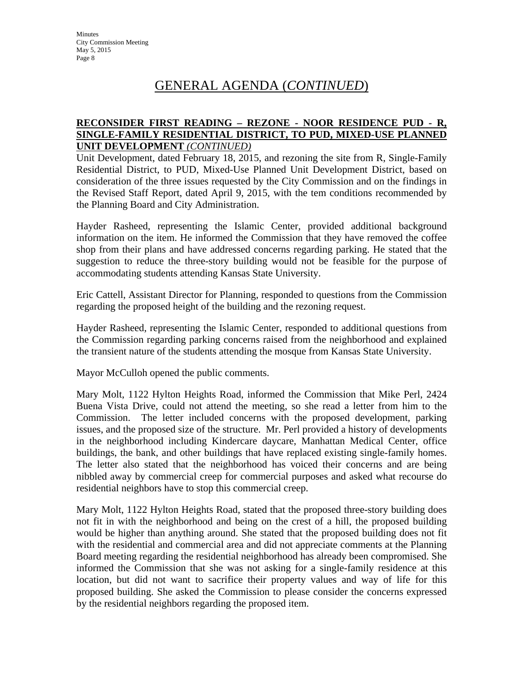### **RECONSIDER FIRST READING – REZONE - NOOR RESIDENCE PUD - R, SINGLE-FAMILY RESIDENTIAL DISTRICT, TO PUD, MIXED-USE PLANNED UNIT DEVELOPMENT** *(CONTINUED)*

Unit Development, dated February 18, 2015, and rezoning the site from R, Single-Family Residential District, to PUD, Mixed-Use Planned Unit Development District, based on consideration of the three issues requested by the City Commission and on the findings in the Revised Staff Report, dated April 9, 2015, with the tem conditions recommended by the Planning Board and City Administration.

Hayder Rasheed, representing the Islamic Center, provided additional background information on the item. He informed the Commission that they have removed the coffee shop from their plans and have addressed concerns regarding parking. He stated that the suggestion to reduce the three-story building would not be feasible for the purpose of accommodating students attending Kansas State University.

Eric Cattell, Assistant Director for Planning, responded to questions from the Commission regarding the proposed height of the building and the rezoning request.

Hayder Rasheed, representing the Islamic Center, responded to additional questions from the Commission regarding parking concerns raised from the neighborhood and explained the transient nature of the students attending the mosque from Kansas State University.

Mayor McCulloh opened the public comments.

Mary Molt, 1122 Hylton Heights Road, informed the Commission that Mike Perl, 2424 Buena Vista Drive, could not attend the meeting, so she read a letter from him to the Commission. The letter included concerns with the proposed development, parking issues, and the proposed size of the structure. Mr. Perl provided a history of developments in the neighborhood including Kindercare daycare, Manhattan Medical Center, office buildings, the bank, and other buildings that have replaced existing single-family homes. The letter also stated that the neighborhood has voiced their concerns and are being nibbled away by commercial creep for commercial purposes and asked what recourse do residential neighbors have to stop this commercial creep.

Mary Molt, 1122 Hylton Heights Road, stated that the proposed three-story building does not fit in with the neighborhood and being on the crest of a hill, the proposed building would be higher than anything around. She stated that the proposed building does not fit with the residential and commercial area and did not appreciate comments at the Planning Board meeting regarding the residential neighborhood has already been compromised. She informed the Commission that she was not asking for a single-family residence at this location, but did not want to sacrifice their property values and way of life for this proposed building. She asked the Commission to please consider the concerns expressed by the residential neighbors regarding the proposed item.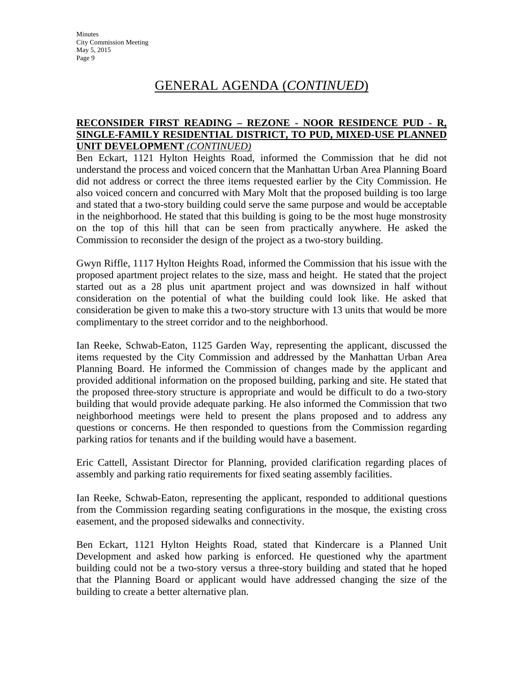# GENERAL AGENDA (*CONTINUED*)

### **RECONSIDER FIRST READING – REZONE - NOOR RESIDENCE PUD - R, SINGLE-FAMILY RESIDENTIAL DISTRICT, TO PUD, MIXED-USE PLANNED UNIT DEVELOPMENT** *(CONTINUED)*

Ben Eckart, 1121 Hylton Heights Road, informed the Commission that he did not understand the process and voiced concern that the Manhattan Urban Area Planning Board did not address or correct the three items requested earlier by the City Commission. He also voiced concern and concurred with Mary Molt that the proposed building is too large and stated that a two-story building could serve the same purpose and would be acceptable in the neighborhood. He stated that this building is going to be the most huge monstrosity on the top of this hill that can be seen from practically anywhere. He asked the Commission to reconsider the design of the project as a two-story building.

Gwyn Riffle, 1117 Hylton Heights Road, informed the Commission that his issue with the proposed apartment project relates to the size, mass and height. He stated that the project started out as a 28 plus unit apartment project and was downsized in half without consideration on the potential of what the building could look like. He asked that consideration be given to make this a two-story structure with 13 units that would be more complimentary to the street corridor and to the neighborhood.

Ian Reeke, Schwab-Eaton, 1125 Garden Way, representing the applicant, discussed the items requested by the City Commission and addressed by the Manhattan Urban Area Planning Board. He informed the Commission of changes made by the applicant and provided additional information on the proposed building, parking and site. He stated that the proposed three-story structure is appropriate and would be difficult to do a two-story building that would provide adequate parking. He also informed the Commission that two neighborhood meetings were held to present the plans proposed and to address any questions or concerns. He then responded to questions from the Commission regarding parking ratios for tenants and if the building would have a basement.

Eric Cattell, Assistant Director for Planning, provided clarification regarding places of assembly and parking ratio requirements for fixed seating assembly facilities.

Ian Reeke, Schwab-Eaton, representing the applicant, responded to additional questions from the Commission regarding seating configurations in the mosque, the existing cross easement, and the proposed sidewalks and connectivity.

Ben Eckart, 1121 Hylton Heights Road, stated that Kindercare is a Planned Unit Development and asked how parking is enforced. He questioned why the apartment building could not be a two-story versus a three-story building and stated that he hoped that the Planning Board or applicant would have addressed changing the size of the building to create a better alternative plan.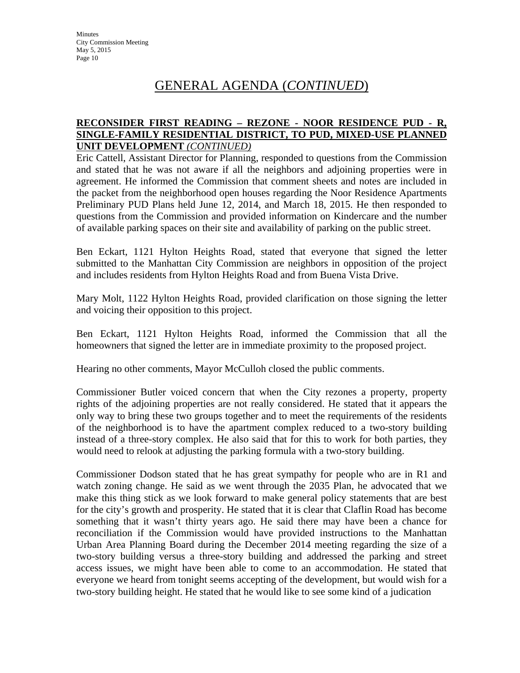# GENERAL AGENDA (*CONTINUED*)

### **RECONSIDER FIRST READING – REZONE - NOOR RESIDENCE PUD - R, SINGLE-FAMILY RESIDENTIAL DISTRICT, TO PUD, MIXED-USE PLANNED UNIT DEVELOPMENT** *(CONTINUED)*

Eric Cattell, Assistant Director for Planning, responded to questions from the Commission and stated that he was not aware if all the neighbors and adjoining properties were in agreement. He informed the Commission that comment sheets and notes are included in the packet from the neighborhood open houses regarding the Noor Residence Apartments Preliminary PUD Plans held June 12, 2014, and March 18, 2015. He then responded to questions from the Commission and provided information on Kindercare and the number of available parking spaces on their site and availability of parking on the public street.

Ben Eckart, 1121 Hylton Heights Road, stated that everyone that signed the letter submitted to the Manhattan City Commission are neighbors in opposition of the project and includes residents from Hylton Heights Road and from Buena Vista Drive.

Mary Molt, 1122 Hylton Heights Road, provided clarification on those signing the letter and voicing their opposition to this project.

Ben Eckart, 1121 Hylton Heights Road, informed the Commission that all the homeowners that signed the letter are in immediate proximity to the proposed project.

Hearing no other comments, Mayor McCulloh closed the public comments.

Commissioner Butler voiced concern that when the City rezones a property, property rights of the adjoining properties are not really considered. He stated that it appears the only way to bring these two groups together and to meet the requirements of the residents of the neighborhood is to have the apartment complex reduced to a two-story building instead of a three-story complex. He also said that for this to work for both parties, they would need to relook at adjusting the parking formula with a two-story building.

Commissioner Dodson stated that he has great sympathy for people who are in R1 and watch zoning change. He said as we went through the 2035 Plan, he advocated that we make this thing stick as we look forward to make general policy statements that are best for the city's growth and prosperity. He stated that it is clear that Claflin Road has become something that it wasn't thirty years ago. He said there may have been a chance for reconciliation if the Commission would have provided instructions to the Manhattan Urban Area Planning Board during the December 2014 meeting regarding the size of a two-story building versus a three-story building and addressed the parking and street access issues, we might have been able to come to an accommodation. He stated that everyone we heard from tonight seems accepting of the development, but would wish for a two-story building height. He stated that he would like to see some kind of a judication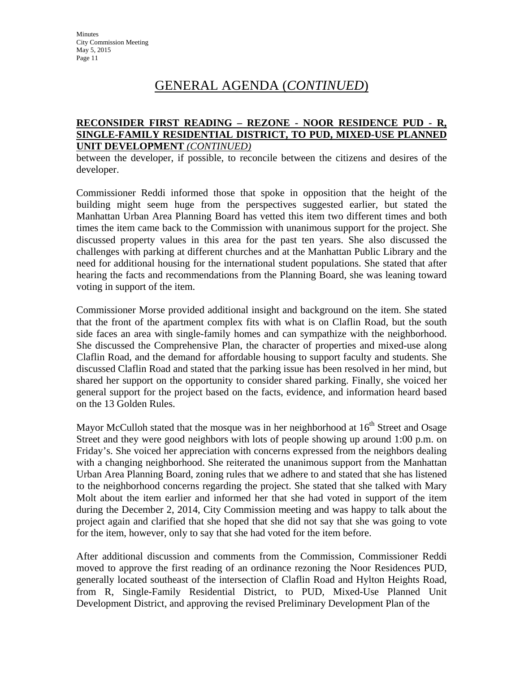### **RECONSIDER FIRST READING – REZONE - NOOR RESIDENCE PUD - R, SINGLE-FAMILY RESIDENTIAL DISTRICT, TO PUD, MIXED-USE PLANNED UNIT DEVELOPMENT** *(CONTINUED)*

between the developer, if possible, to reconcile between the citizens and desires of the developer.

Commissioner Reddi informed those that spoke in opposition that the height of the building might seem huge from the perspectives suggested earlier, but stated the Manhattan Urban Area Planning Board has vetted this item two different times and both times the item came back to the Commission with unanimous support for the project. She discussed property values in this area for the past ten years. She also discussed the challenges with parking at different churches and at the Manhattan Public Library and the need for additional housing for the international student populations. She stated that after hearing the facts and recommendations from the Planning Board, she was leaning toward voting in support of the item.

Commissioner Morse provided additional insight and background on the item. She stated that the front of the apartment complex fits with what is on Claflin Road, but the south side faces an area with single-family homes and can sympathize with the neighborhood. She discussed the Comprehensive Plan, the character of properties and mixed-use along Claflin Road, and the demand for affordable housing to support faculty and students. She discussed Claflin Road and stated that the parking issue has been resolved in her mind, but shared her support on the opportunity to consider shared parking. Finally, she voiced her general support for the project based on the facts, evidence, and information heard based on the 13 Golden Rules.

Mayor McCulloh stated that the mosque was in her neighborhood at  $16<sup>th</sup>$  Street and Osage Street and they were good neighbors with lots of people showing up around 1:00 p.m. on Friday's. She voiced her appreciation with concerns expressed from the neighbors dealing with a changing neighborhood. She reiterated the unanimous support from the Manhattan Urban Area Planning Board, zoning rules that we adhere to and stated that she has listened to the neighborhood concerns regarding the project. She stated that she talked with Mary Molt about the item earlier and informed her that she had voted in support of the item during the December 2, 2014, City Commission meeting and was happy to talk about the project again and clarified that she hoped that she did not say that she was going to vote for the item, however, only to say that she had voted for the item before.

After additional discussion and comments from the Commission, Commissioner Reddi moved to approve the first reading of an ordinance rezoning the Noor Residences PUD, generally located southeast of the intersection of Claflin Road and Hylton Heights Road, from R, Single-Family Residential District, to PUD, Mixed-Use Planned Unit Development District, and approving the revised Preliminary Development Plan of the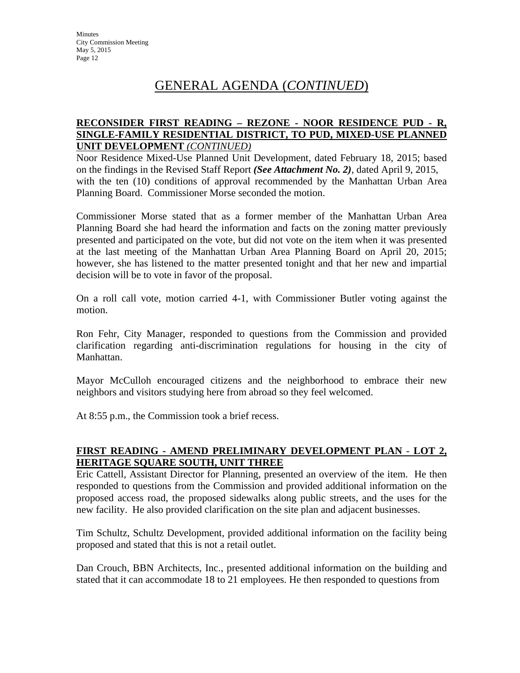### **RECONSIDER FIRST READING – REZONE - NOOR RESIDENCE PUD - R, SINGLE-FAMILY RESIDENTIAL DISTRICT, TO PUD, MIXED-USE PLANNED UNIT DEVELOPMENT** *(CONTINUED)*

Noor Residence Mixed-Use Planned Unit Development, dated February 18, 2015; based on the findings in the Revised Staff Report *(See Attachment No. 2)*, dated April 9, 2015, with the ten (10) conditions of approval recommended by the Manhattan Urban Area Planning Board. Commissioner Morse seconded the motion.

Commissioner Morse stated that as a former member of the Manhattan Urban Area Planning Board she had heard the information and facts on the zoning matter previously presented and participated on the vote, but did not vote on the item when it was presented at the last meeting of the Manhattan Urban Area Planning Board on April 20, 2015; however, she has listened to the matter presented tonight and that her new and impartial decision will be to vote in favor of the proposal.

On a roll call vote, motion carried 4-1, with Commissioner Butler voting against the motion.

Ron Fehr, City Manager, responded to questions from the Commission and provided clarification regarding anti-discrimination regulations for housing in the city of Manhattan.

Mayor McCulloh encouraged citizens and the neighborhood to embrace their new neighbors and visitors studying here from abroad so they feel welcomed.

At 8:55 p.m., the Commission took a brief recess.

### **FIRST READING - AMEND PRELIMINARY DEVELOPMENT PLAN** - **LOT 2, HERITAGE SQUARE SOUTH, UNIT THREE**

Eric Cattell, Assistant Director for Planning, presented an overview of the item. He then responded to questions from the Commission and provided additional information on the proposed access road, the proposed sidewalks along public streets, and the uses for the new facility. He also provided clarification on the site plan and adjacent businesses.

Tim Schultz, Schultz Development, provided additional information on the facility being proposed and stated that this is not a retail outlet.

Dan Crouch, BBN Architects, Inc., presented additional information on the building and stated that it can accommodate 18 to 21 employees. He then responded to questions from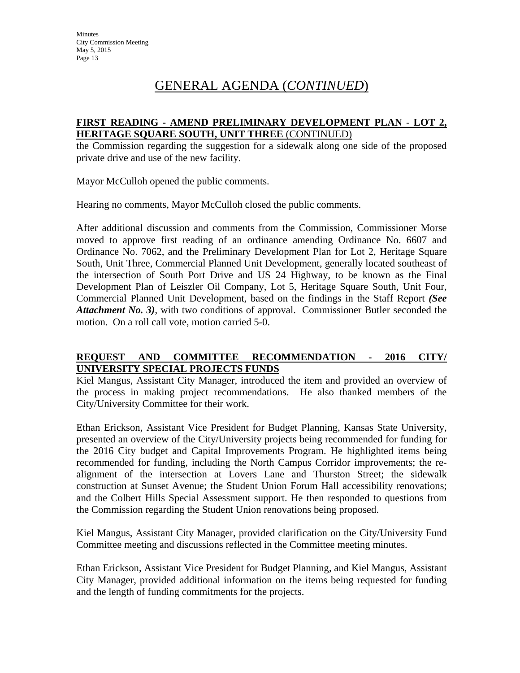### **FIRST READING - AMEND PRELIMINARY DEVELOPMENT PLAN** - **LOT 2, HERITAGE SQUARE SOUTH, UNIT THREE** (CONTINUED)

the Commission regarding the suggestion for a sidewalk along one side of the proposed private drive and use of the new facility.

Mayor McCulloh opened the public comments.

Hearing no comments, Mayor McCulloh closed the public comments.

After additional discussion and comments from the Commission, Commissioner Morse moved to approve first reading of an ordinance amending Ordinance No. 6607 and Ordinance No. 7062, and the Preliminary Development Plan for Lot 2, Heritage Square South, Unit Three, Commercial Planned Unit Development, generally located southeast of the intersection of South Port Drive and US 24 Highway, to be known as the Final Development Plan of Leiszler Oil Company, Lot 5, Heritage Square South, Unit Four, Commercial Planned Unit Development, based on the findings in the Staff Report *(See Attachment No. 3)*, with two conditions of approval. Commissioner Butler seconded the motion. On a roll call vote, motion carried 5-0.

## **REQUEST AND COMMITTEE RECOMMENDATION - 2016 CITY/ UNIVERSITY SPECIAL PROJECTS FUNDS**

Kiel Mangus, Assistant City Manager, introduced the item and provided an overview of the process in making project recommendations. He also thanked members of the City/University Committee for their work.

Ethan Erickson, Assistant Vice President for Budget Planning, Kansas State University, presented an overview of the City/University projects being recommended for funding for the 2016 City budget and Capital Improvements Program. He highlighted items being recommended for funding, including the North Campus Corridor improvements; the realignment of the intersection at Lovers Lane and Thurston Street; the sidewalk construction at Sunset Avenue; the Student Union Forum Hall accessibility renovations; and the Colbert Hills Special Assessment support. He then responded to questions from the Commission regarding the Student Union renovations being proposed.

Kiel Mangus, Assistant City Manager, provided clarification on the City/University Fund Committee meeting and discussions reflected in the Committee meeting minutes.

Ethan Erickson, Assistant Vice President for Budget Planning, and Kiel Mangus, Assistant City Manager, provided additional information on the items being requested for funding and the length of funding commitments for the projects.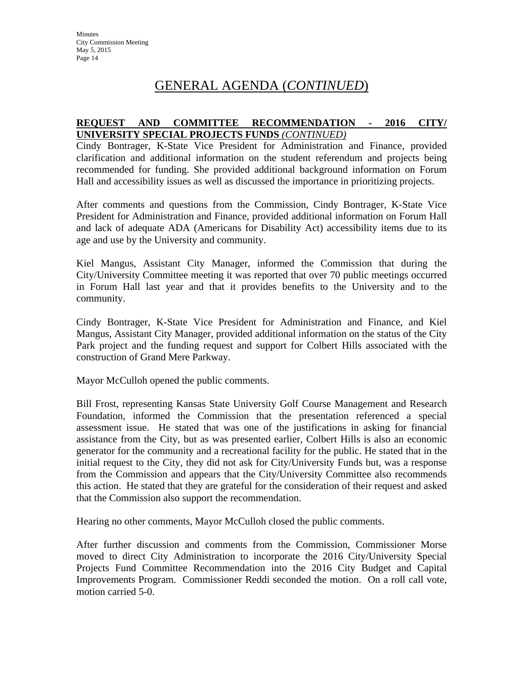### **REQUEST AND COMMITTEE RECOMMENDATION - 2016 CITY/ UNIVERSITY SPECIAL PROJECTS FUNDS** *(CONTINUED)*

Cindy Bontrager, K-State Vice President for Administration and Finance, provided clarification and additional information on the student referendum and projects being recommended for funding. She provided additional background information on Forum Hall and accessibility issues as well as discussed the importance in prioritizing projects.

After comments and questions from the Commission, Cindy Bontrager, K-State Vice President for Administration and Finance, provided additional information on Forum Hall and lack of adequate ADA (Americans for Disability Act) accessibility items due to its age and use by the University and community.

Kiel Mangus, Assistant City Manager, informed the Commission that during the City/University Committee meeting it was reported that over 70 public meetings occurred in Forum Hall last year and that it provides benefits to the University and to the community.

Cindy Bontrager, K-State Vice President for Administration and Finance, and Kiel Mangus, Assistant City Manager, provided additional information on the status of the City Park project and the funding request and support for Colbert Hills associated with the construction of Grand Mere Parkway.

Mayor McCulloh opened the public comments.

Bill Frost, representing Kansas State University Golf Course Management and Research Foundation, informed the Commission that the presentation referenced a special assessment issue. He stated that was one of the justifications in asking for financial assistance from the City, but as was presented earlier, Colbert Hills is also an economic generator for the community and a recreational facility for the public. He stated that in the initial request to the City, they did not ask for City/University Funds but, was a response from the Commission and appears that the City/University Committee also recommends this action. He stated that they are grateful for the consideration of their request and asked that the Commission also support the recommendation.

Hearing no other comments, Mayor McCulloh closed the public comments.

After further discussion and comments from the Commission, Commissioner Morse moved to direct City Administration to incorporate the 2016 City/University Special Projects Fund Committee Recommendation into the 2016 City Budget and Capital Improvements Program. Commissioner Reddi seconded the motion. On a roll call vote, motion carried 5-0.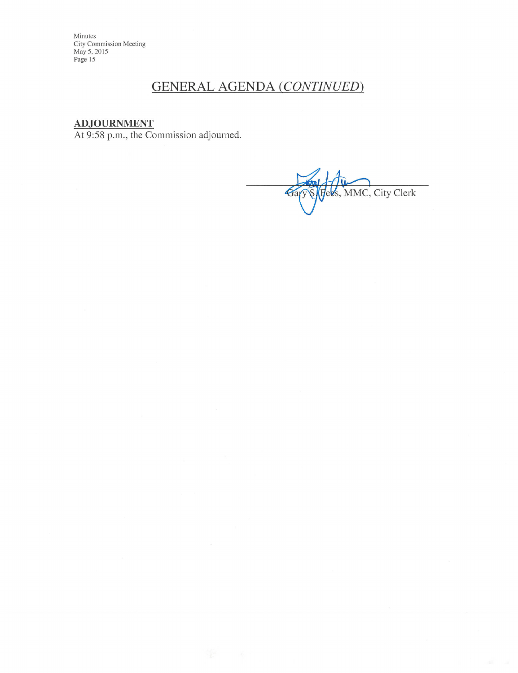Minutes City Commission Meeting<br>May 5, 2015<br>Page 15

# **GENERAL AGENDA (CONTINUED)**

## **ADJOURNMENT**

At 9:58 p.m., the Commission adjourned.

ees, MMC, City Clerk Ga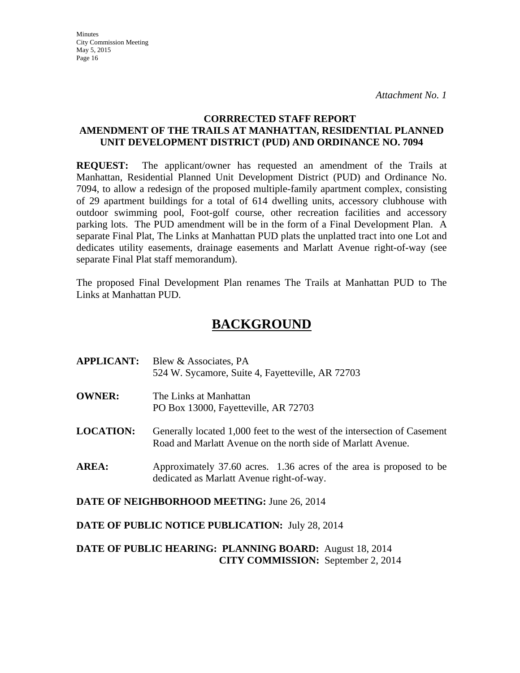**Minutes** City Commission Meeting May 5, 2015 Page 16

#### **CORRRECTED STAFF REPORT AMENDMENT OF THE TRAILS AT MANHATTAN, RESIDENTIAL PLANNED UNIT DEVELOPMENT DISTRICT (PUD) AND ORDINANCE NO. 7094**

**REQUEST:** The applicant/owner has requested an amendment of the Trails at Manhattan, Residential Planned Unit Development District (PUD) and Ordinance No. 7094, to allow a redesign of the proposed multiple-family apartment complex, consisting of 29 apartment buildings for a total of 614 dwelling units, accessory clubhouse with outdoor swimming pool, Foot-golf course, other recreation facilities and accessory parking lots. The PUD amendment will be in the form of a Final Development Plan. A separate Final Plat, The Links at Manhattan PUD plats the unplatted tract into one Lot and dedicates utility easements, drainage easements and Marlatt Avenue right-of-way (see separate Final Plat staff memorandum).

The proposed Final Development Plan renames The Trails at Manhattan PUD to The Links at Manhattan PUD.

# **BACKGROUND**

| <b>APPLICANT:</b> | Blew & Associates, PA<br>524 W. Sycamore, Suite 4, Fayetteville, AR 72703                                                                |
|-------------------|------------------------------------------------------------------------------------------------------------------------------------------|
| <b>OWNER:</b>     | The Links at Manhattan<br>PO Box 13000, Fayetteville, AR 72703                                                                           |
| <b>LOCATION:</b>  | Generally located 1,000 feet to the west of the intersection of Casement<br>Road and Marlatt Avenue on the north side of Marlatt Avenue. |
| <b>AREA:</b>      | Approximately 37.60 acres. 1.36 acres of the area is proposed to be<br>dedicated as Marlatt Avenue right-of-way.                         |
|                   | DATE OF NEIGHBORHOOD MEETING: June 26, 2014                                                                                              |

**DATE OF PUBLIC NOTICE PUBLICATION:** July 28, 2014

## **DATE OF PUBLIC HEARING: PLANNING BOARD:** August 18, 2014 **CITY COMMISSION:** September 2, 2014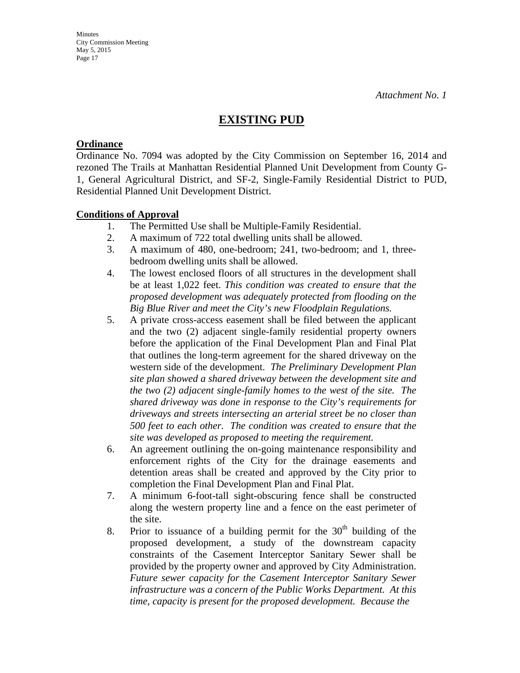# **EXISTING PUD**

### **Ordinance**

Ordinance No. 7094 was adopted by the City Commission on September 16, 2014 and rezoned The Trails at Manhattan Residential Planned Unit Development from County G-1, General Agricultural District, and SF-2, Single-Family Residential District to PUD, Residential Planned Unit Development District.

### **Conditions of Approval**

- 1. The Permitted Use shall be Multiple-Family Residential.
- 2. A maximum of 722 total dwelling units shall be allowed.
- 3. A maximum of 480, one-bedroom; 241, two-bedroom; and 1, threebedroom dwelling units shall be allowed.
- 4. The lowest enclosed floors of all structures in the development shall be at least 1,022 feet. *This condition was created to ensure that the proposed development was adequately protected from flooding on the Big Blue River and meet the City's new Floodplain Regulations.*
- 5. A private cross-access easement shall be filed between the applicant and the two (2) adjacent single-family residential property owners before the application of the Final Development Plan and Final Plat that outlines the long-term agreement for the shared driveway on the western side of the development. *The Preliminary Development Plan site plan showed a shared driveway between the development site and the two (2) adjacent single-family homes to the west of the site. The shared driveway was done in response to the City's requirements for driveways and streets intersecting an arterial street be no closer than 500 feet to each other. The condition was created to ensure that the site was developed as proposed to meeting the requirement.*
- 6. An agreement outlining the on-going maintenance responsibility and enforcement rights of the City for the drainage easements and detention areas shall be created and approved by the City prior to completion the Final Development Plan and Final Plat.
- 7. A minimum 6-foot-tall sight-obscuring fence shall be constructed along the western property line and a fence on the east perimeter of the site.
- 8. Prior to issuance of a building permit for the  $30<sup>th</sup>$  building of the proposed development, a study of the downstream capacity constraints of the Casement Interceptor Sanitary Sewer shall be provided by the property owner and approved by City Administration. *Future sewer capacity for the Casement Interceptor Sanitary Sewer infrastructure was a concern of the Public Works Department. At this time, capacity is present for the proposed development. Because the*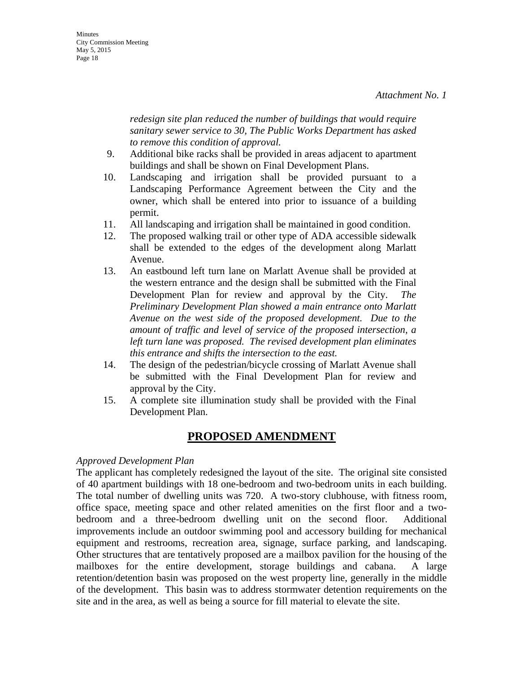*redesign site plan reduced the number of buildings that would require sanitary sewer service to 30, The Public Works Department has asked to remove this condition of approval.*

- 9. Additional bike racks shall be provided in areas adjacent to apartment buildings and shall be shown on Final Development Plans.
- 10. Landscaping and irrigation shall be provided pursuant to a Landscaping Performance Agreement between the City and the owner, which shall be entered into prior to issuance of a building permit.
- 11. All landscaping and irrigation shall be maintained in good condition.
- 12. The proposed walking trail or other type of ADA accessible sidewalk shall be extended to the edges of the development along Marlatt Avenue.
- 13. An eastbound left turn lane on Marlatt Avenue shall be provided at the western entrance and the design shall be submitted with the Final Development Plan for review and approval by the City. *The Preliminary Development Plan showed a main entrance onto Marlatt Avenue on the west side of the proposed development. Due to the amount of traffic and level of service of the proposed intersection, a left turn lane was proposed. The revised development plan eliminates this entrance and shifts the intersection to the east.*
- 14. The design of the pedestrian/bicycle crossing of Marlatt Avenue shall be submitted with the Final Development Plan for review and approval by the City.
- 15. A complete site illumination study shall be provided with the Final Development Plan.

# **PROPOSED AMENDMENT**

### *Approved Development Plan*

The applicant has completely redesigned the layout of the site. The original site consisted of 40 apartment buildings with 18 one-bedroom and two-bedroom units in each building. The total number of dwelling units was 720. A two-story clubhouse, with fitness room, office space, meeting space and other related amenities on the first floor and a twobedroom and a three-bedroom dwelling unit on the second floor. Additional improvements include an outdoor swimming pool and accessory building for mechanical equipment and restrooms, recreation area, signage, surface parking, and landscaping. Other structures that are tentatively proposed are a mailbox pavilion for the housing of the mailboxes for the entire development, storage buildings and cabana. A large retention/detention basin was proposed on the west property line, generally in the middle of the development. This basin was to address stormwater detention requirements on the site and in the area, as well as being a source for fill material to elevate the site.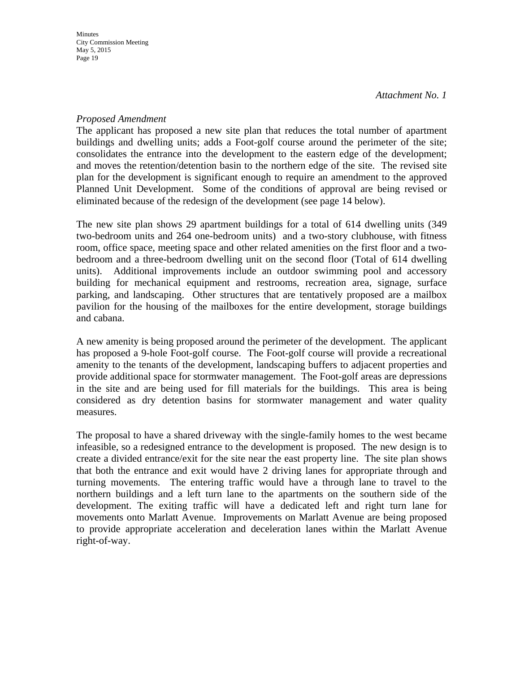### *Proposed Amendment*

The applicant has proposed a new site plan that reduces the total number of apartment buildings and dwelling units; adds a Foot-golf course around the perimeter of the site; consolidates the entrance into the development to the eastern edge of the development; and moves the retention/detention basin to the northern edge of the site. The revised site plan for the development is significant enough to require an amendment to the approved Planned Unit Development. Some of the conditions of approval are being revised or eliminated because of the redesign of the development (see page 14 below).

The new site plan shows 29 apartment buildings for a total of 614 dwelling units (349 two-bedroom units and 264 one-bedroom units) and a two-story clubhouse, with fitness room, office space, meeting space and other related amenities on the first floor and a twobedroom and a three-bedroom dwelling unit on the second floor (Total of 614 dwelling units). Additional improvements include an outdoor swimming pool and accessory building for mechanical equipment and restrooms, recreation area, signage, surface parking, and landscaping. Other structures that are tentatively proposed are a mailbox pavilion for the housing of the mailboxes for the entire development, storage buildings and cabana.

A new amenity is being proposed around the perimeter of the development. The applicant has proposed a 9-hole Foot-golf course. The Foot-golf course will provide a recreational amenity to the tenants of the development, landscaping buffers to adjacent properties and provide additional space for stormwater management. The Foot-golf areas are depressions in the site and are being used for fill materials for the buildings. This area is being considered as dry detention basins for stormwater management and water quality measures.

The proposal to have a shared driveway with the single-family homes to the west became infeasible, so a redesigned entrance to the development is proposed. The new design is to create a divided entrance/exit for the site near the east property line. The site plan shows that both the entrance and exit would have 2 driving lanes for appropriate through and turning movements. The entering traffic would have a through lane to travel to the northern buildings and a left turn lane to the apartments on the southern side of the development. The exiting traffic will have a dedicated left and right turn lane for movements onto Marlatt Avenue. Improvements on Marlatt Avenue are being proposed to provide appropriate acceleration and deceleration lanes within the Marlatt Avenue right-of-way.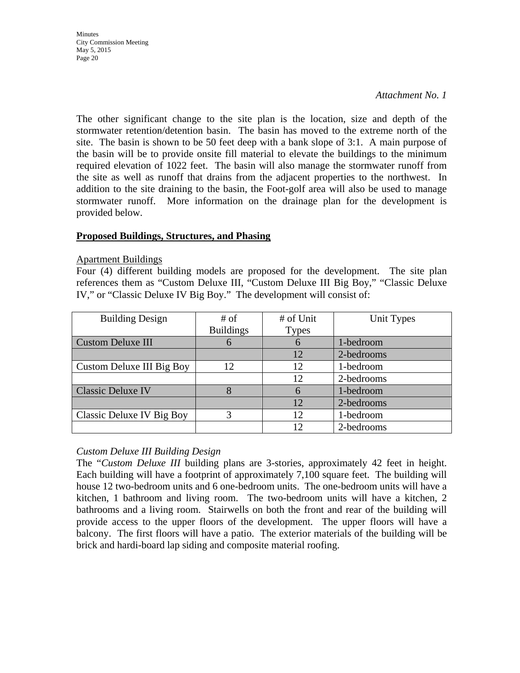#### *Attachment No. 1*

The other significant change to the site plan is the location, size and depth of the stormwater retention/detention basin. The basin has moved to the extreme north of the site. The basin is shown to be 50 feet deep with a bank slope of 3:1. A main purpose of the basin will be to provide onsite fill material to elevate the buildings to the minimum required elevation of 1022 feet. The basin will also manage the stormwater runoff from the site as well as runoff that drains from the adjacent properties to the northwest. In addition to the site draining to the basin, the Foot-golf area will also be used to manage stormwater runoff. More information on the drainage plan for the development is provided below.

#### **Proposed Buildings, Structures, and Phasing**

#### Apartment Buildings

Four (4) different building models are proposed for the development. The site plan references them as "Custom Deluxe III, "Custom Deluxe III Big Boy," "Classic Deluxe IV," or "Classic Deluxe IV Big Boy." The development will consist of:

| <b>Building Design</b>    | # of             | # of Unit    | Unit Types |
|---------------------------|------------------|--------------|------------|
|                           | <b>Buildings</b> | <b>Types</b> |            |
| <b>Custom Deluxe III</b>  | $\mathbf{6}$     | 6            | 1-bedroom  |
|                           |                  | 12           | 2-bedrooms |
| Custom Deluxe III Big Boy | 12               | 12           | 1-bedroom  |
|                           |                  | 12           | 2-bedrooms |
| <b>Classic Deluxe IV</b>  |                  | 6            | 1-bedroom  |
|                           |                  | 12           | 2-bedrooms |
| Classic Deluxe IV Big Boy | 3                | 12           | 1-bedroom  |
|                           |                  | 12           | 2-bedrooms |

### *Custom Deluxe III Building Design*

The "*Custom Deluxe III* building plans are 3-stories, approximately 42 feet in height. Each building will have a footprint of approximately 7,100 square feet. The building will house 12 two-bedroom units and 6 one-bedroom units. The one-bedroom units will have a kitchen, 1 bathroom and living room. The two-bedroom units will have a kitchen, 2 bathrooms and a living room. Stairwells on both the front and rear of the building will provide access to the upper floors of the development. The upper floors will have a balcony. The first floors will have a patio. The exterior materials of the building will be brick and hardi-board lap siding and composite material roofing.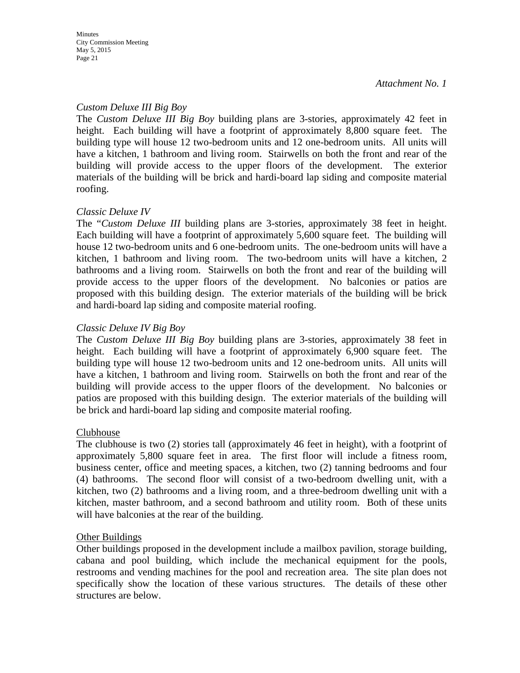### *Custom Deluxe III Big Boy*

The *Custom Deluxe III Big Boy* building plans are 3-stories, approximately 42 feet in height. Each building will have a footprint of approximately 8,800 square feet. The building type will house 12 two-bedroom units and 12 one-bedroom units. All units will have a kitchen, 1 bathroom and living room. Stairwells on both the front and rear of the building will provide access to the upper floors of the development. The exterior materials of the building will be brick and hardi-board lap siding and composite material roofing.

#### *Classic Deluxe IV*

The "*Custom Deluxe III* building plans are 3-stories, approximately 38 feet in height. Each building will have a footprint of approximately 5,600 square feet. The building will house 12 two-bedroom units and 6 one-bedroom units. The one-bedroom units will have a kitchen, 1 bathroom and living room. The two-bedroom units will have a kitchen, 2 bathrooms and a living room. Stairwells on both the front and rear of the building will provide access to the upper floors of the development. No balconies or patios are proposed with this building design. The exterior materials of the building will be brick and hardi-board lap siding and composite material roofing.

### *Classic Deluxe IV Big Boy*

The *Custom Deluxe III Big Boy* building plans are 3-stories, approximately 38 feet in height. Each building will have a footprint of approximately 6,900 square feet. The building type will house 12 two-bedroom units and 12 one-bedroom units. All units will have a kitchen, 1 bathroom and living room. Stairwells on both the front and rear of the building will provide access to the upper floors of the development. No balconies or patios are proposed with this building design. The exterior materials of the building will be brick and hardi-board lap siding and composite material roofing.

#### Clubhouse

The clubhouse is two (2) stories tall (approximately 46 feet in height), with a footprint of approximately 5,800 square feet in area. The first floor will include a fitness room, business center, office and meeting spaces, a kitchen, two (2) tanning bedrooms and four (4) bathrooms. The second floor will consist of a two-bedroom dwelling unit, with a kitchen, two (2) bathrooms and a living room, and a three-bedroom dwelling unit with a kitchen, master bathroom, and a second bathroom and utility room. Both of these units will have balconies at the rear of the building.

#### **Other Buildings**

Other buildings proposed in the development include a mailbox pavilion, storage building, cabana and pool building, which include the mechanical equipment for the pools, restrooms and vending machines for the pool and recreation area. The site plan does not specifically show the location of these various structures. The details of these other structures are below.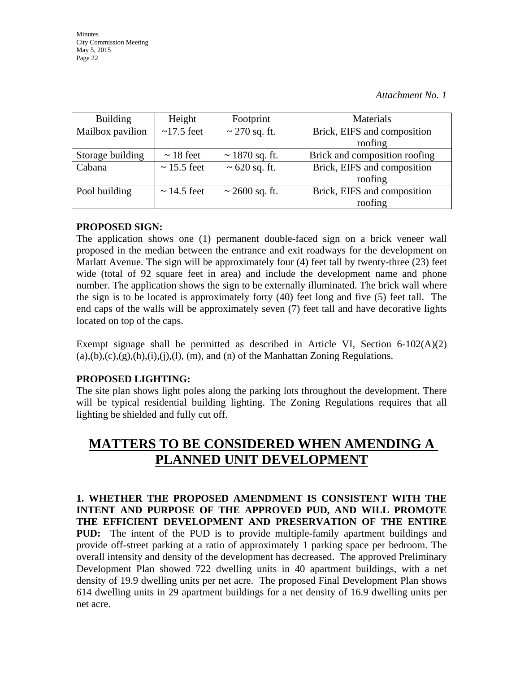| <b>Building</b>  | Height           | Footprint           | Materials                     |
|------------------|------------------|---------------------|-------------------------------|
| Mailbox pavilion | $\sim$ 17.5 feet | $\sim$ 270 sq. ft.  | Brick, EIFS and composition   |
|                  |                  |                     | roofing                       |
| Storage building | $\sim$ 18 feet   | $\sim$ 1870 sq. ft. | Brick and composition roofing |
| Cabana           | $\sim$ 15.5 feet | $\sim 620$ sq. ft.  | Brick, EIFS and composition   |
|                  |                  |                     | roofing                       |
| Pool building    | $\sim$ 14.5 feet | $\sim$ 2600 sq. ft. | Brick, EIFS and composition   |
|                  |                  |                     | roofing                       |

### **PROPOSED SIGN:**

The application shows one (1) permanent double-faced sign on a brick veneer wall proposed in the median between the entrance and exit roadways for the development on Marlatt Avenue. The sign will be approximately four (4) feet tall by twenty-three (23) feet wide (total of 92 square feet in area) and include the development name and phone number. The application shows the sign to be externally illuminated. The brick wall where the sign is to be located is approximately forty (40) feet long and five (5) feet tall. The end caps of the walls will be approximately seven (7) feet tall and have decorative lights located on top of the caps.

Exempt signage shall be permitted as described in Article VI, Section 6-102(A)(2)  $(a), (b), (c), (g), (h), (i), (i), (l), (m),$  and  $(n)$  of the Manhattan Zoning Regulations.

### **PROPOSED LIGHTING:**

The site plan shows light poles along the parking lots throughout the development. There will be typical residential building lighting. The Zoning Regulations requires that all lighting be shielded and fully cut off.

# **MATTERS TO BE CONSIDERED WHEN AMENDING A PLANNED UNIT DEVELOPMENT**

**1. WHETHER THE PROPOSED AMENDMENT IS CONSISTENT WITH THE INTENT AND PURPOSE OF THE APPROVED PUD, AND WILL PROMOTE THE EFFICIENT DEVELOPMENT AND PRESERVATION OF THE ENTIRE PUD:** The intent of the PUD is to provide multiple-family apartment buildings and provide off-street parking at a ratio of approximately 1 parking space per bedroom. The overall intensity and density of the development has decreased. The approved Preliminary Development Plan showed 722 dwelling units in 40 apartment buildings, with a net density of 19.9 dwelling units per net acre. The proposed Final Development Plan shows 614 dwelling units in 29 apartment buildings for a net density of 16.9 dwelling units per net acre.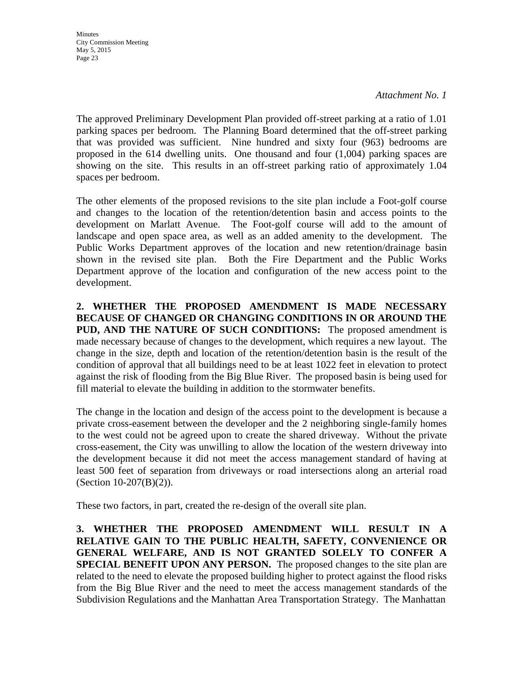*Attachment No. 1* 

The approved Preliminary Development Plan provided off-street parking at a ratio of 1.01 parking spaces per bedroom. The Planning Board determined that the off-street parking that was provided was sufficient. Nine hundred and sixty four (963) bedrooms are proposed in the 614 dwelling units. One thousand and four (1,004) parking spaces are showing on the site. This results in an off-street parking ratio of approximately 1.04 spaces per bedroom.

The other elements of the proposed revisions to the site plan include a Foot-golf course and changes to the location of the retention/detention basin and access points to the development on Marlatt Avenue. The Foot-golf course will add to the amount of landscape and open space area, as well as an added amenity to the development. The Public Works Department approves of the location and new retention/drainage basin shown in the revised site plan. Both the Fire Department and the Public Works Department approve of the location and configuration of the new access point to the development.

**2. WHETHER THE PROPOSED AMENDMENT IS MADE NECESSARY BECAUSE OF CHANGED OR CHANGING CONDITIONS IN OR AROUND THE PUD, AND THE NATURE OF SUCH CONDITIONS:** The proposed amendment is made necessary because of changes to the development, which requires a new layout. The change in the size, depth and location of the retention/detention basin is the result of the condition of approval that all buildings need to be at least 1022 feet in elevation to protect against the risk of flooding from the Big Blue River. The proposed basin is being used for fill material to elevate the building in addition to the stormwater benefits.

The change in the location and design of the access point to the development is because a private cross-easement between the developer and the 2 neighboring single-family homes to the west could not be agreed upon to create the shared driveway. Without the private cross-easement, the City was unwilling to allow the location of the western driveway into the development because it did not meet the access management standard of having at least 500 feet of separation from driveways or road intersections along an arterial road (Section 10-207(B)(2)).

These two factors, in part, created the re-design of the overall site plan.

**3. WHETHER THE PROPOSED AMENDMENT WILL RESULT IN A RELATIVE GAIN TO THE PUBLIC HEALTH, SAFETY, CONVENIENCE OR GENERAL WELFARE, AND IS NOT GRANTED SOLELY TO CONFER A SPECIAL BENEFIT UPON ANY PERSON.** The proposed changes to the site plan are related to the need to elevate the proposed building higher to protect against the flood risks from the Big Blue River and the need to meet the access management standards of the Subdivision Regulations and the Manhattan Area Transportation Strategy. The Manhattan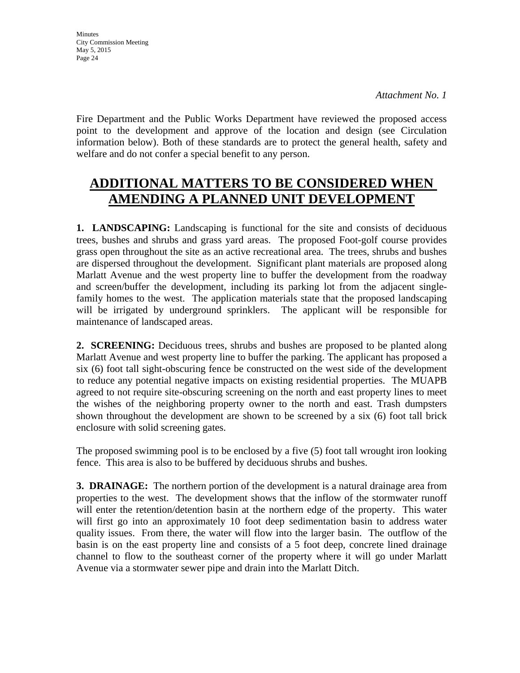**Minutes** City Commission Meeting May 5, 2015 Page 24

Fire Department and the Public Works Department have reviewed the proposed access point to the development and approve of the location and design (see Circulation information below). Both of these standards are to protect the general health, safety and welfare and do not confer a special benefit to any person.

# **ADDITIONAL MATTERS TO BE CONSIDERED WHEN AMENDING A PLANNED UNIT DEVELOPMENT**

**1. LANDSCAPING:** Landscaping is functional for the site and consists of deciduous trees, bushes and shrubs and grass yard areas. The proposed Foot-golf course provides grass open throughout the site as an active recreational area. The trees, shrubs and bushes are dispersed throughout the development. Significant plant materials are proposed along Marlatt Avenue and the west property line to buffer the development from the roadway and screen/buffer the development, including its parking lot from the adjacent singlefamily homes to the west. The application materials state that the proposed landscaping will be irrigated by underground sprinklers. The applicant will be responsible for maintenance of landscaped areas.

**2. SCREENING:** Deciduous trees, shrubs and bushes are proposed to be planted along Marlatt Avenue and west property line to buffer the parking. The applicant has proposed a six (6) foot tall sight-obscuring fence be constructed on the west side of the development to reduce any potential negative impacts on existing residential properties. The MUAPB agreed to not require site-obscuring screening on the north and east property lines to meet the wishes of the neighboring property owner to the north and east. Trash dumpsters shown throughout the development are shown to be screened by a six (6) foot tall brick enclosure with solid screening gates.

The proposed swimming pool is to be enclosed by a five (5) foot tall wrought iron looking fence. This area is also to be buffered by deciduous shrubs and bushes.

**3. DRAINAGE:** The northern portion of the development is a natural drainage area from properties to the west. The development shows that the inflow of the stormwater runoff will enter the retention/detention basin at the northern edge of the property. This water will first go into an approximately 10 foot deep sedimentation basin to address water quality issues. From there, the water will flow into the larger basin. The outflow of the basin is on the east property line and consists of a 5 foot deep, concrete lined drainage channel to flow to the southeast corner of the property where it will go under Marlatt Avenue via a stormwater sewer pipe and drain into the Marlatt Ditch.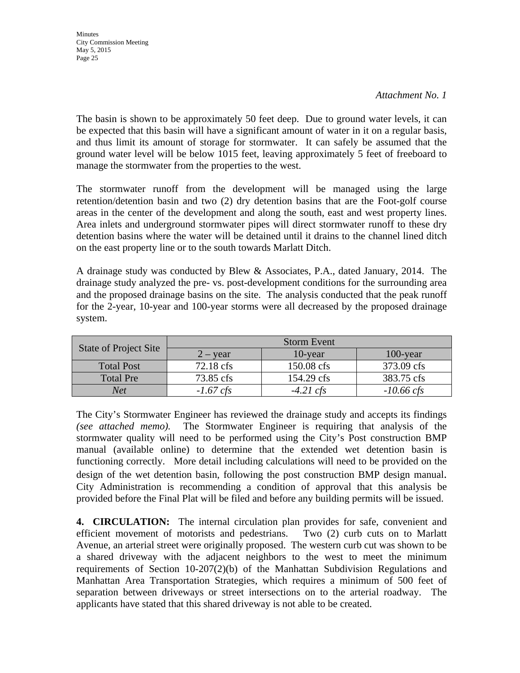#### *Attachment No. 1*

The basin is shown to be approximately 50 feet deep. Due to ground water levels, it can be expected that this basin will have a significant amount of water in it on a regular basis, and thus limit its amount of storage for stormwater. It can safely be assumed that the ground water level will be below 1015 feet, leaving approximately 5 feet of freeboard to manage the stormwater from the properties to the west.

The stormwater runoff from the development will be managed using the large retention/detention basin and two (2) dry detention basins that are the Foot-golf course areas in the center of the development and along the south, east and west property lines. Area inlets and underground stormwater pipes will direct stormwater runoff to these dry detention basins where the water will be detained until it drains to the channel lined ditch on the east property line or to the south towards Marlatt Ditch.

A drainage study was conducted by Blew & Associates, P.A., dated January, 2014. The drainage study analyzed the pre- vs. post-development conditions for the surrounding area and the proposed drainage basins on the site. The analysis conducted that the peak runoff for the 2-year, 10-year and 100-year storms were all decreased by the proposed drainage system.

|                       | <b>Storm Event</b>    |             |                      |
|-----------------------|-----------------------|-------------|----------------------|
| State of Project Site | $2 - \mathrm{vear}$   | $10$ -year  | $100$ -year          |
| <b>Total Post</b>     | 72.18 cfs             | 150.08 cfs  | 373.09 cfs           |
| <b>Total Pre</b>      | 73.85 cfs             | 154.29 cfs  | 383.75 cfs           |
| <b>Net</b>            | $-1.67 \, \text{cfs}$ | $-4.21$ cfs | $-10.66 \text{ cfs}$ |

The City's Stormwater Engineer has reviewed the drainage study and accepts its findings *(see attached memo).* The Stormwater Engineer is requiring that analysis of the stormwater quality will need to be performed using the City's Post construction BMP manual (available online) to determine that the extended wet detention basin is functioning correctly. More detail including calculations will need to be provided on the design of the wet detention basin, following the post construction BMP design manual. City Administration is recommending a condition of approval that this analysis be provided before the Final Plat will be filed and before any building permits will be issued.

**4. CIRCULATION:** The internal circulation plan provides for safe, convenient and efficient movement of motorists and pedestrians. Two (2) curb cuts on to Marlatt Avenue, an arterial street were originally proposed. The western curb cut was shown to be a shared driveway with the adjacent neighbors to the west to meet the minimum requirements of Section 10-207(2)(b) of the Manhattan Subdivision Regulations and Manhattan Area Transportation Strategies, which requires a minimum of 500 feet of separation between driveways or street intersections on to the arterial roadway. The applicants have stated that this shared driveway is not able to be created.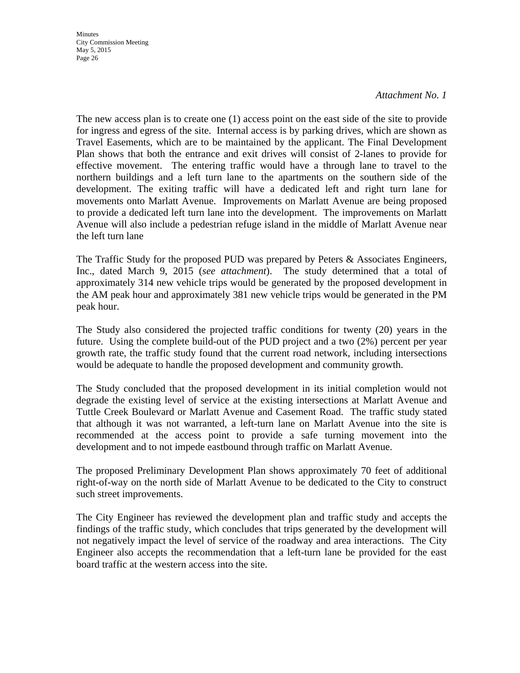#### *Attachment No. 1*

The new access plan is to create one (1) access point on the east side of the site to provide for ingress and egress of the site. Internal access is by parking drives, which are shown as Travel Easements, which are to be maintained by the applicant. The Final Development Plan shows that both the entrance and exit drives will consist of 2-lanes to provide for effective movement. The entering traffic would have a through lane to travel to the northern buildings and a left turn lane to the apartments on the southern side of the development. The exiting traffic will have a dedicated left and right turn lane for movements onto Marlatt Avenue. Improvements on Marlatt Avenue are being proposed to provide a dedicated left turn lane into the development. The improvements on Marlatt Avenue will also include a pedestrian refuge island in the middle of Marlatt Avenue near the left turn lane

The Traffic Study for the proposed PUD was prepared by Peters & Associates Engineers, Inc., dated March 9, 2015 (*see attachment*). The study determined that a total of approximately 314 new vehicle trips would be generated by the proposed development in the AM peak hour and approximately 381 new vehicle trips would be generated in the PM peak hour.

The Study also considered the projected traffic conditions for twenty (20) years in the future. Using the complete build-out of the PUD project and a two (2%) percent per year growth rate, the traffic study found that the current road network, including intersections would be adequate to handle the proposed development and community growth.

The Study concluded that the proposed development in its initial completion would not degrade the existing level of service at the existing intersections at Marlatt Avenue and Tuttle Creek Boulevard or Marlatt Avenue and Casement Road. The traffic study stated that although it was not warranted, a left-turn lane on Marlatt Avenue into the site is recommended at the access point to provide a safe turning movement into the development and to not impede eastbound through traffic on Marlatt Avenue.

The proposed Preliminary Development Plan shows approximately 70 feet of additional right-of-way on the north side of Marlatt Avenue to be dedicated to the City to construct such street improvements.

The City Engineer has reviewed the development plan and traffic study and accepts the findings of the traffic study, which concludes that trips generated by the development will not negatively impact the level of service of the roadway and area interactions. The City Engineer also accepts the recommendation that a left-turn lane be provided for the east board traffic at the western access into the site.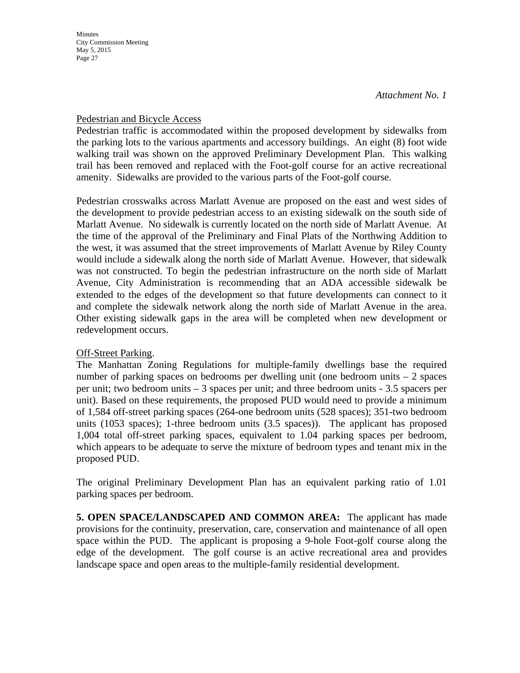*Attachment No. 1* 

#### Pedestrian and Bicycle Access

Pedestrian traffic is accommodated within the proposed development by sidewalks from the parking lots to the various apartments and accessory buildings. An eight (8) foot wide walking trail was shown on the approved Preliminary Development Plan. This walking trail has been removed and replaced with the Foot-golf course for an active recreational amenity. Sidewalks are provided to the various parts of the Foot-golf course.

Pedestrian crosswalks across Marlatt Avenue are proposed on the east and west sides of the development to provide pedestrian access to an existing sidewalk on the south side of Marlatt Avenue. No sidewalk is currently located on the north side of Marlatt Avenue. At the time of the approval of the Preliminary and Final Plats of the Northwing Addition to the west, it was assumed that the street improvements of Marlatt Avenue by Riley County would include a sidewalk along the north side of Marlatt Avenue. However, that sidewalk was not constructed. To begin the pedestrian infrastructure on the north side of Marlatt Avenue, City Administration is recommending that an ADA accessible sidewalk be extended to the edges of the development so that future developments can connect to it and complete the sidewalk network along the north side of Marlatt Avenue in the area. Other existing sidewalk gaps in the area will be completed when new development or redevelopment occurs.

#### Off-Street Parking.

The Manhattan Zoning Regulations for multiple-family dwellings base the required number of parking spaces on bedrooms per dwelling unit (one bedroom units – 2 spaces per unit; two bedroom units – 3 spaces per unit; and three bedroom units - 3.5 spacers per unit). Based on these requirements, the proposed PUD would need to provide a minimum of 1,584 off-street parking spaces (264-one bedroom units (528 spaces); 351-two bedroom units (1053 spaces); 1-three bedroom units (3.5 spaces)). The applicant has proposed 1,004 total off-street parking spaces, equivalent to 1.04 parking spaces per bedroom, which appears to be adequate to serve the mixture of bedroom types and tenant mix in the proposed PUD.

The original Preliminary Development Plan has an equivalent parking ratio of 1.01 parking spaces per bedroom.

**5. OPEN SPACE/LANDSCAPED AND COMMON AREA:** The applicant has made provisions for the continuity, preservation, care, conservation and maintenance of all open space within the PUD. The applicant is proposing a 9-hole Foot-golf course along the edge of the development. The golf course is an active recreational area and provides landscape space and open areas to the multiple-family residential development.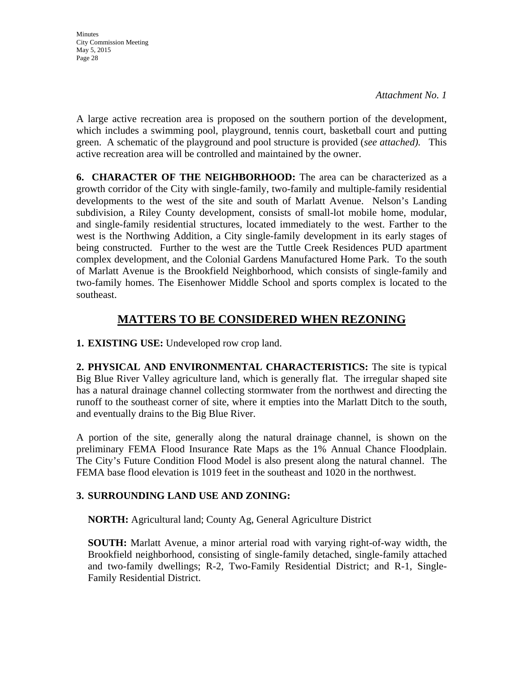**Minutes** City Commission Meeting May 5, 2015 Page 28

A large active recreation area is proposed on the southern portion of the development, which includes a swimming pool, playground, tennis court, basketball court and putting green. A schematic of the playground and pool structure is provided (*see attached).* This active recreation area will be controlled and maintained by the owner.

**6. CHARACTER OF THE NEIGHBORHOOD:** The area can be characterized as a growth corridor of the City with single-family, two-family and multiple-family residential developments to the west of the site and south of Marlatt Avenue. Nelson's Landing subdivision, a Riley County development, consists of small-lot mobile home, modular, and single-family residential structures, located immediately to the west. Farther to the west is the Northwing Addition, a City single-family development in its early stages of being constructed. Further to the west are the Tuttle Creek Residences PUD apartment complex development, and the Colonial Gardens Manufactured Home Park. To the south of Marlatt Avenue is the Brookfield Neighborhood, which consists of single-family and two-family homes. The Eisenhower Middle School and sports complex is located to the southeast.

# **MATTERS TO BE CONSIDERED WHEN REZONING**

**1. EXISTING USE:** Undeveloped row crop land.

**2. PHYSICAL AND ENVIRONMENTAL CHARACTERISTICS:** The site is typical Big Blue River Valley agriculture land, which is generally flat. The irregular shaped site has a natural drainage channel collecting stormwater from the northwest and directing the runoff to the southeast corner of site, where it empties into the Marlatt Ditch to the south, and eventually drains to the Big Blue River.

A portion of the site, generally along the natural drainage channel, is shown on the preliminary FEMA Flood Insurance Rate Maps as the 1% Annual Chance Floodplain. The City's Future Condition Flood Model is also present along the natural channel. The FEMA base flood elevation is 1019 feet in the southeast and 1020 in the northwest.

## **3. SURROUNDING LAND USE AND ZONING:**

**NORTH:** Agricultural land; County Ag, General Agriculture District

**SOUTH:** Marlatt Avenue, a minor arterial road with varying right-of-way width, the Brookfield neighborhood, consisting of single-family detached, single-family attached and two-family dwellings; R-2, Two-Family Residential District; and R-1, Single-Family Residential District.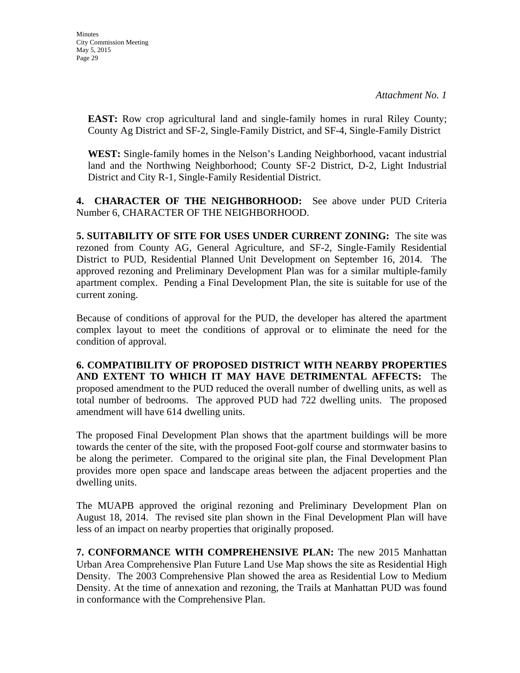**EAST:** Row crop agricultural land and single-family homes in rural Riley County; County Ag District and SF-2, Single-Family District, and SF-4, Single-Family District

**WEST:** Single-family homes in the Nelson's Landing Neighborhood, vacant industrial land and the Northwing Neighborhood; County SF-2 District, D-2, Light Industrial District and City R-1, Single-Family Residential District.

**4. CHARACTER OF THE NEIGHBORHOOD:** See above under PUD Criteria Number 6, CHARACTER OF THE NEIGHBORHOOD.

**5. SUITABILITY OF SITE FOR USES UNDER CURRENT ZONING:** The site was rezoned from County AG, General Agriculture, and SF-2, Single-Family Residential District to PUD, Residential Planned Unit Development on September 16, 2014. The approved rezoning and Preliminary Development Plan was for a similar multiple-family apartment complex. Pending a Final Development Plan, the site is suitable for use of the current zoning.

Because of conditions of approval for the PUD, the developer has altered the apartment complex layout to meet the conditions of approval or to eliminate the need for the condition of approval.

**6. COMPATIBILITY OF PROPOSED DISTRICT WITH NEARBY PROPERTIES AND EXTENT TO WHICH IT MAY HAVE DETRIMENTAL AFFECTS:** The proposed amendment to the PUD reduced the overall number of dwelling units, as well as total number of bedrooms. The approved PUD had 722 dwelling units. The proposed amendment will have 614 dwelling units.

The proposed Final Development Plan shows that the apartment buildings will be more towards the center of the site, with the proposed Foot-golf course and stormwater basins to be along the perimeter. Compared to the original site plan, the Final Development Plan provides more open space and landscape areas between the adjacent properties and the dwelling units.

The MUAPB approved the original rezoning and Preliminary Development Plan on August 18, 2014. The revised site plan shown in the Final Development Plan will have less of an impact on nearby properties that originally proposed.

**7. CONFORMANCE WITH COMPREHENSIVE PLAN:** The new 2015 Manhattan Urban Area Comprehensive Plan Future Land Use Map shows the site as Residential High Density. The 2003 Comprehensive Plan showed the area as Residential Low to Medium Density. At the time of annexation and rezoning, the Trails at Manhattan PUD was found in conformance with the Comprehensive Plan.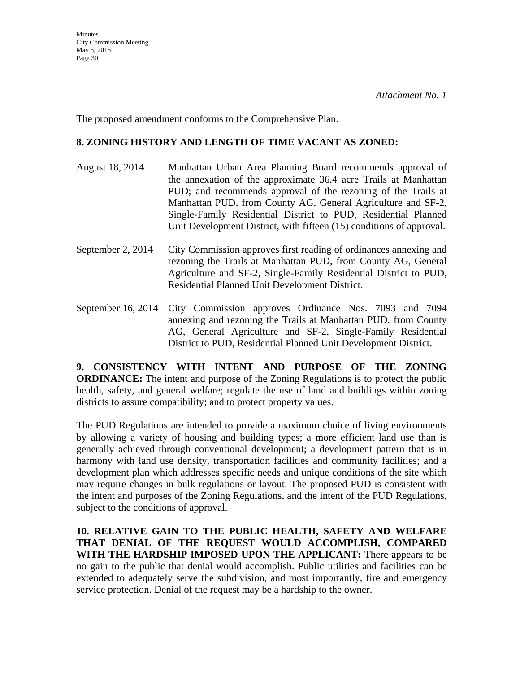The proposed amendment conforms to the Comprehensive Plan.

### **8. ZONING HISTORY AND LENGTH OF TIME VACANT AS ZONED:**

- August 18, 2014 Manhattan Urban Area Planning Board recommends approval of the annexation of the approximate 36.4 acre Trails at Manhattan PUD; and recommends approval of the rezoning of the Trails at Manhattan PUD, from County AG, General Agriculture and SF-2, Single-Family Residential District to PUD, Residential Planned Unit Development District, with fifteen (15) conditions of approval.
- September 2, 2014 City Commission approves first reading of ordinances annexing and rezoning the Trails at Manhattan PUD, from County AG, General Agriculture and SF-2, Single-Family Residential District to PUD, Residential Planned Unit Development District.
- September 16, 2014 City Commission approves Ordinance Nos. 7093 and 7094 annexing and rezoning the Trails at Manhattan PUD, from County AG, General Agriculture and SF-2, Single-Family Residential District to PUD, Residential Planned Unit Development District.

**9. CONSISTENCY WITH INTENT AND PURPOSE OF THE ZONING ORDINANCE:** The intent and purpose of the Zoning Regulations is to protect the public health, safety, and general welfare; regulate the use of land and buildings within zoning districts to assure compatibility; and to protect property values.

The PUD Regulations are intended to provide a maximum choice of living environments by allowing a variety of housing and building types; a more efficient land use than is generally achieved through conventional development; a development pattern that is in harmony with land use density, transportation facilities and community facilities; and a development plan which addresses specific needs and unique conditions of the site which may require changes in bulk regulations or layout. The proposed PUD is consistent with the intent and purposes of the Zoning Regulations, and the intent of the PUD Regulations, subject to the conditions of approval.

**10. RELATIVE GAIN TO THE PUBLIC HEALTH, SAFETY AND WELFARE THAT DENIAL OF THE REQUEST WOULD ACCOMPLISH, COMPARED WITH THE HARDSHIP IMPOSED UPON THE APPLICANT:** There appears to be no gain to the public that denial would accomplish. Public utilities and facilities can be extended to adequately serve the subdivision, and most importantly, fire and emergency service protection. Denial of the request may be a hardship to the owner.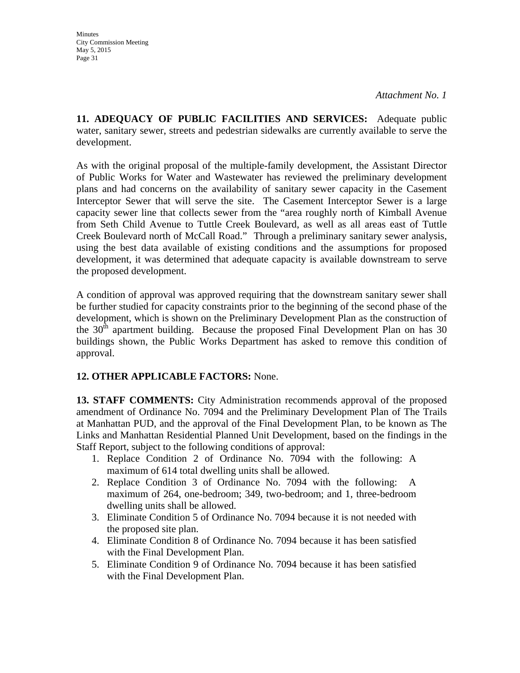**11. ADEQUACY OF PUBLIC FACILITIES AND SERVICES:** Adequate public water, sanitary sewer, streets and pedestrian sidewalks are currently available to serve the development.

As with the original proposal of the multiple-family development, the Assistant Director of Public Works for Water and Wastewater has reviewed the preliminary development plans and had concerns on the availability of sanitary sewer capacity in the Casement Interceptor Sewer that will serve the site. The Casement Interceptor Sewer is a large capacity sewer line that collects sewer from the "area roughly north of Kimball Avenue from Seth Child Avenue to Tuttle Creek Boulevard, as well as all areas east of Tuttle Creek Boulevard north of McCall Road." Through a preliminary sanitary sewer analysis, using the best data available of existing conditions and the assumptions for proposed development, it was determined that adequate capacity is available downstream to serve the proposed development.

A condition of approval was approved requiring that the downstream sanitary sewer shall be further studied for capacity constraints prior to the beginning of the second phase of the development, which is shown on the Preliminary Development Plan as the construction of the  $30<sup>th</sup>$  apartment building. Because the proposed Final Development Plan on has 30 buildings shown, the Public Works Department has asked to remove this condition of approval.

### **12. OTHER APPLICABLE FACTORS:** None.

**13. STAFF COMMENTS:** City Administration recommends approval of the proposed amendment of Ordinance No. 7094 and the Preliminary Development Plan of The Trails at Manhattan PUD, and the approval of the Final Development Plan, to be known as The Links and Manhattan Residential Planned Unit Development, based on the findings in the Staff Report, subject to the following conditions of approval:

- 1. Replace Condition 2 of Ordinance No. 7094 with the following: A maximum of 614 total dwelling units shall be allowed.
- 2. Replace Condition 3 of Ordinance No. 7094 with the following: A maximum of 264, one-bedroom; 349, two-bedroom; and 1, three-bedroom dwelling units shall be allowed.
- 3. Eliminate Condition 5 of Ordinance No. 7094 because it is not needed with the proposed site plan.
- 4. Eliminate Condition 8 of Ordinance No. 7094 because it has been satisfied with the Final Development Plan.
- 5. Eliminate Condition 9 of Ordinance No. 7094 because it has been satisfied with the Final Development Plan.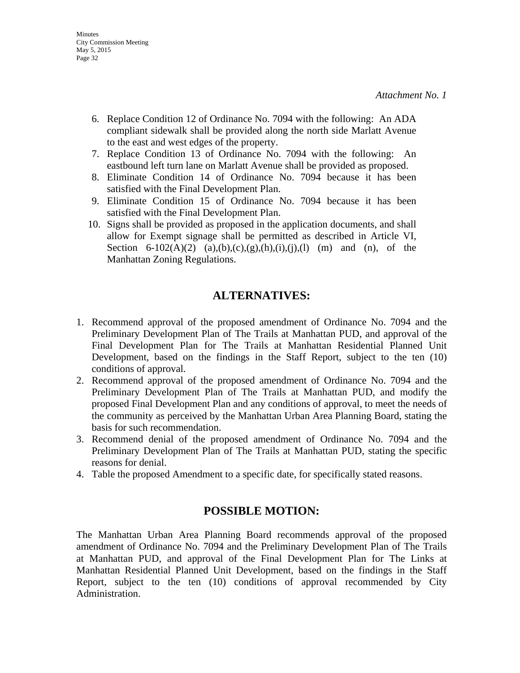- 6. Replace Condition 12 of Ordinance No. 7094 with the following: An ADA compliant sidewalk shall be provided along the north side Marlatt Avenue to the east and west edges of the property.
- 7. Replace Condition 13 of Ordinance No. 7094 with the following: An eastbound left turn lane on Marlatt Avenue shall be provided as proposed.
- 8. Eliminate Condition 14 of Ordinance No. 7094 because it has been satisfied with the Final Development Plan.
- 9. Eliminate Condition 15 of Ordinance No. 7094 because it has been satisfied with the Final Development Plan.
- 10. Signs shall be provided as proposed in the application documents, and shall allow for Exempt signage shall be permitted as described in Article VI, Section 6-102(A)(2) (a),(b),(c),(g),(h),(i),(j),(l) (m) and (n), of the Manhattan Zoning Regulations.

# **ALTERNATIVES:**

- 1. Recommend approval of the proposed amendment of Ordinance No. 7094 and the Preliminary Development Plan of The Trails at Manhattan PUD, and approval of the Final Development Plan for The Trails at Manhattan Residential Planned Unit Development, based on the findings in the Staff Report, subject to the ten (10) conditions of approval.
- 2. Recommend approval of the proposed amendment of Ordinance No. 7094 and the Preliminary Development Plan of The Trails at Manhattan PUD, and modify the proposed Final Development Plan and any conditions of approval, to meet the needs of the community as perceived by the Manhattan Urban Area Planning Board, stating the basis for such recommendation.
- 3. Recommend denial of the proposed amendment of Ordinance No. 7094 and the Preliminary Development Plan of The Trails at Manhattan PUD, stating the specific reasons for denial.
- 4. Table the proposed Amendment to a specific date, for specifically stated reasons.

## **POSSIBLE MOTION:**

The Manhattan Urban Area Planning Board recommends approval of the proposed amendment of Ordinance No. 7094 and the Preliminary Development Plan of The Trails at Manhattan PUD, and approval of the Final Development Plan for The Links at Manhattan Residential Planned Unit Development, based on the findings in the Staff Report, subject to the ten (10) conditions of approval recommended by City Administration.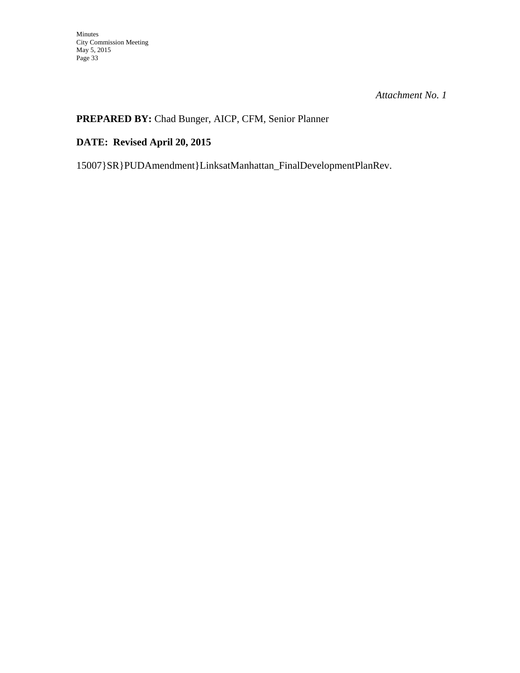## **PREPARED BY:** Chad Bunger, AICP, CFM, Senior Planner

## **DATE: Revised April 20, 2015**

15007}SR}PUDAmendment}LinksatManhattan\_FinalDevelopmentPlanRev.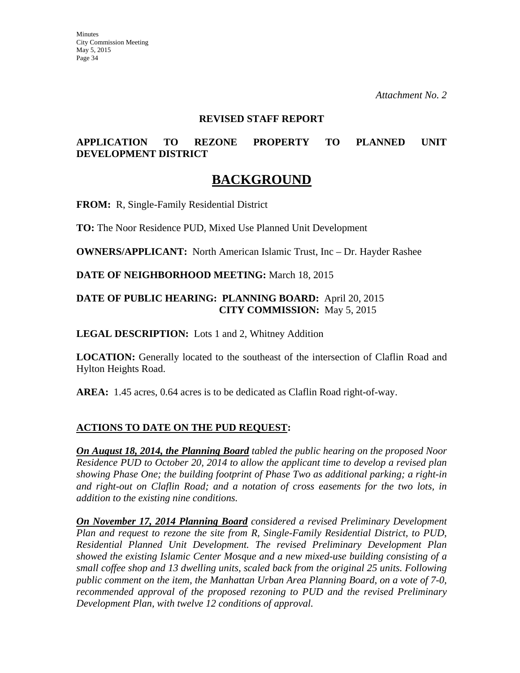#### **REVISED STAFF REPORT**

## **APPLICATION TO REZONE PROPERTY TO PLANNED UNIT DEVELOPMENT DISTRICT**

# **BACKGROUND**

**FROM:** R, Single-Family Residential District

**TO:** The Noor Residence PUD, Mixed Use Planned Unit Development

**OWNERS/APPLICANT:** North American Islamic Trust, Inc – Dr. Hayder Rashee

**DATE OF NEIGHBORHOOD MEETING:** March 18, 2015

#### **DATE OF PUBLIC HEARING: PLANNING BOARD:** April 20, 2015 **CITY COMMISSION:** May 5, 2015

#### **LEGAL DESCRIPTION:** Lots 1 and 2, Whitney Addition

**LOCATION:** Generally located to the southeast of the intersection of Claflin Road and Hylton Heights Road.

**AREA:** 1.45 acres, 0.64 acres is to be dedicated as Claflin Road right-of-way.

### **ACTIONS TO DATE ON THE PUD REQUEST:**

*On August 18, 2014, the Planning Board tabled the public hearing on the proposed Noor Residence PUD to October 20, 2014 to allow the applicant time to develop a revised plan showing Phase One; the building footprint of Phase Two as additional parking; a right-in and right-out on Claflin Road; and a notation of cross easements for the two lots, in addition to the existing nine conditions.*

*On November 17, 2014 Planning Board considered a revised Preliminary Development Plan and request to rezone the site from R, Single-Family Residential District, to PUD, Residential Planned Unit Development. The revised Preliminary Development Plan showed the existing Islamic Center Mosque and a new mixed-use building consisting of a small coffee shop and 13 dwelling units, scaled back from the original 25 units. Following public comment on the item, the Manhattan Urban Area Planning Board, on a vote of 7-0, recommended approval of the proposed rezoning to PUD and the revised Preliminary Development Plan, with twelve 12 conditions of approval.*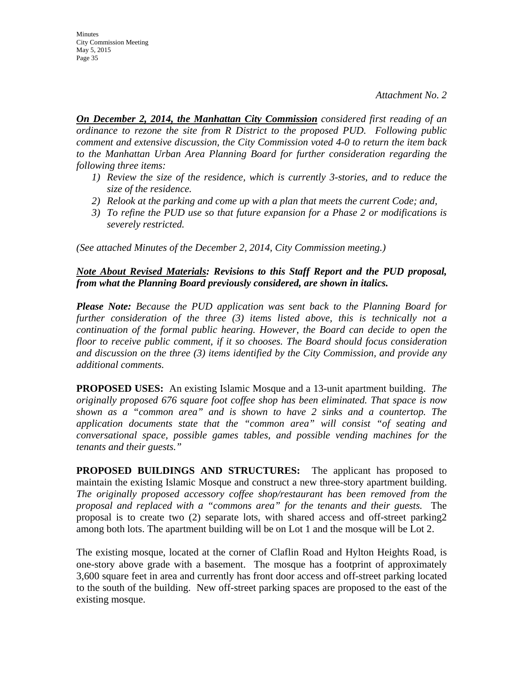**Minutes** City Commission Meeting May 5, 2015 Page 35

*On December 2, 2014, the Manhattan City Commission considered first reading of an ordinance to rezone the site from R District to the proposed PUD. Following public comment and extensive discussion, the City Commission voted 4-0 to return the item back to the Manhattan Urban Area Planning Board for further consideration regarding the following three items:* 

- *1) Review the size of the residence, which is currently 3-stories, and to reduce the size of the residence.*
- *2) Relook at the parking and come up with a plan that meets the current Code; and,*
- *3) To refine the PUD use so that future expansion for a Phase 2 or modifications is severely restricted.*

*(See attached Minutes of the December 2, 2014, City Commission meeting.)* 

### *Note About Revised Materials: Revisions to this Staff Report and the PUD proposal, from what the Planning Board previously considered, are shown in italics.*

*Please Note: Because the PUD application was sent back to the Planning Board for further consideration of the three (3) items listed above, this is technically not a continuation of the formal public hearing. However, the Board can decide to open the floor to receive public comment, if it so chooses. The Board should focus consideration and discussion on the three (3) items identified by the City Commission, and provide any additional comments.* 

**PROPOSED USES:** An existing Islamic Mosque and a 13-unit apartment building. *The originally proposed 676 square foot coffee shop has been eliminated. That space is now shown as a "common area" and is shown to have 2 sinks and a countertop. The application documents state that the "common area" will consist "of seating and conversational space, possible games tables, and possible vending machines for the tenants and their guests."* 

**PROPOSED BUILDINGS AND STRUCTURES:** The applicant has proposed to maintain the existing Islamic Mosque and construct a new three-story apartment building. *The originally proposed accessory coffee shop/restaurant has been removed from the proposal and replaced with a "commons area" for the tenants and their guests.* The proposal is to create two (2) separate lots, with shared access and off-street parking2 among both lots. The apartment building will be on Lot 1 and the mosque will be Lot 2.

The existing mosque, located at the corner of Claflin Road and Hylton Heights Road, is one-story above grade with a basement. The mosque has a footprint of approximately 3,600 square feet in area and currently has front door access and off-street parking located to the south of the building. New off-street parking spaces are proposed to the east of the existing mosque.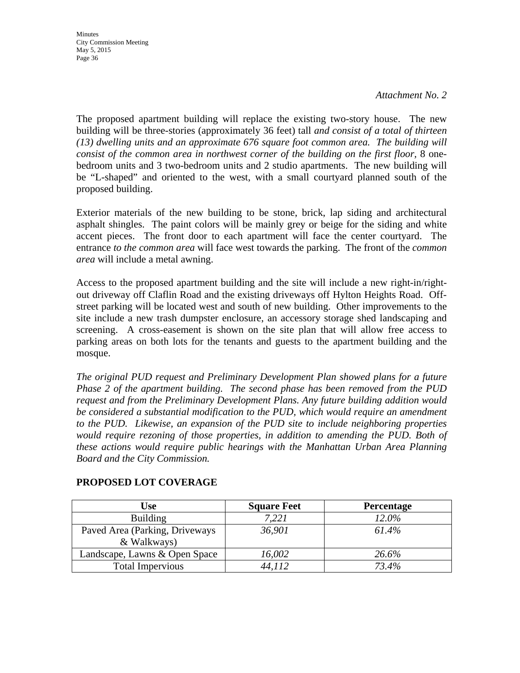**Minutes** City Commission Meeting May 5, 2015 Page 36

The proposed apartment building will replace the existing two-story house. The new building will be three-stories (approximately 36 feet) tall *and consist of a total of thirteen (13) dwelling units and an approximate 676 square foot common area. The building will consist of the common area in northwest corner of the building on the first floor,* 8 onebedroom units and 3 two-bedroom units and 2 studio apartments. The new building will be "L-shaped" and oriented to the west, with a small courtyard planned south of the proposed building.

Exterior materials of the new building to be stone, brick, lap siding and architectural asphalt shingles. The paint colors will be mainly grey or beige for the siding and white accent pieces. The front door to each apartment will face the center courtyard. The entrance *to the common area* will face west towards the parking. The front of the *common area* will include a metal awning.

Access to the proposed apartment building and the site will include a new right-in/rightout driveway off Claflin Road and the existing driveways off Hylton Heights Road. Offstreet parking will be located west and south of new building. Other improvements to the site include a new trash dumpster enclosure, an accessory storage shed landscaping and screening. A cross-easement is shown on the site plan that will allow free access to parking areas on both lots for the tenants and guests to the apartment building and the mosque.

*The original PUD request and Preliminary Development Plan showed plans for a future Phase 2 of the apartment building. The second phase has been removed from the PUD request and from the Preliminary Development Plans. Any future building addition would be considered a substantial modification to the PUD, which would require an amendment to the PUD. Likewise, an expansion of the PUD site to include neighboring properties would require rezoning of those properties, in addition to amending the PUD. Both of these actions would require public hearings with the Manhattan Urban Area Planning Board and the City Commission.* 

| Use                            | <b>Square Feet</b> | Percentage |
|--------------------------------|--------------------|------------|
| <b>Building</b>                | 7,221              | 12.0%      |
| Paved Area (Parking, Driveways | 36,901             | 61.4%      |
| & Walkways)                    |                    |            |
| Landscape, Lawns & Open Space  | 16,002             | 26.6%      |
| <b>Total Impervious</b>        | 44.112             | 73.4%      |

#### **PROPOSED LOT COVERAGE**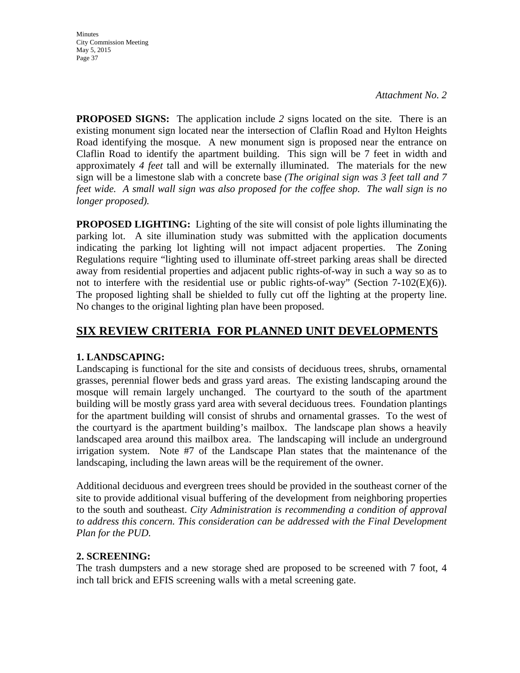**Minutes** City Commission Meeting May 5, 2015 Page 37

**PROPOSED SIGNS:** The application include *2* signs located on the site. There is an existing monument sign located near the intersection of Claflin Road and Hylton Heights Road identifying the mosque. A new monument sign is proposed near the entrance on Claflin Road to identify the apartment building. This sign will be 7 feet in width and approximately *4 feet* tall and will be externally illuminated. The materials for the new sign will be a limestone slab with a concrete base *(The original sign was 3 feet tall and 7 feet wide. A small wall sign was also proposed for the coffee shop. The wall sign is no longer proposed).* 

**PROPOSED LIGHTING:** Lighting of the site will consist of pole lights illuminating the parking lot. A site illumination study was submitted with the application documents indicating the parking lot lighting will not impact adjacent properties. The Zoning Regulations require "lighting used to illuminate off-street parking areas shall be directed away from residential properties and adjacent public rights-of-way in such a way so as to not to interfere with the residential use or public rights-of-way" (Section 7-102(E)(6)). The proposed lighting shall be shielded to fully cut off the lighting at the property line. No changes to the original lighting plan have been proposed.

# **SIX REVIEW CRITERIA FOR PLANNED UNIT DEVELOPMENTS**

### **1. LANDSCAPING:**

Landscaping is functional for the site and consists of deciduous trees, shrubs, ornamental grasses, perennial flower beds and grass yard areas. The existing landscaping around the mosque will remain largely unchanged. The courtyard to the south of the apartment building will be mostly grass yard area with several deciduous trees. Foundation plantings for the apartment building will consist of shrubs and ornamental grasses. To the west of the courtyard is the apartment building's mailbox. The landscape plan shows a heavily landscaped area around this mailbox area. The landscaping will include an underground irrigation system. Note #7 of the Landscape Plan states that the maintenance of the landscaping, including the lawn areas will be the requirement of the owner.

Additional deciduous and evergreen trees should be provided in the southeast corner of the site to provide additional visual buffering of the development from neighboring properties to the south and southeast. *City Administration is recommending a condition of approval to address this concern. This consideration can be addressed with the Final Development Plan for the PUD.*

### **2. SCREENING:**

The trash dumpsters and a new storage shed are proposed to be screened with 7 foot, 4 inch tall brick and EFIS screening walls with a metal screening gate.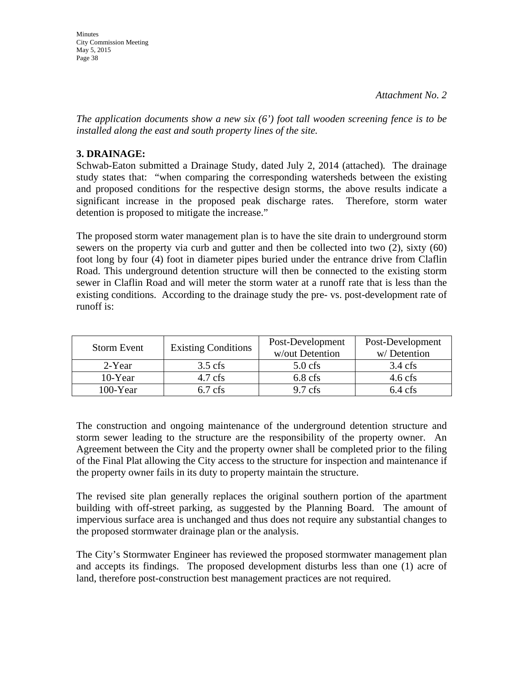*The application documents show a new six (6') foot tall wooden screening fence is to be installed along the east and south property lines of the site.*

## **3. DRAINAGE:**

Schwab-Eaton submitted a Drainage Study, dated July 2, 2014 (attached)*.* The drainage study states that: "when comparing the corresponding watersheds between the existing and proposed conditions for the respective design storms, the above results indicate a significant increase in the proposed peak discharge rates. Therefore, storm water detention is proposed to mitigate the increase."

The proposed storm water management plan is to have the site drain to underground storm sewers on the property via curb and gutter and then be collected into two (2), sixty (60) foot long by four (4) foot in diameter pipes buried under the entrance drive from Claflin Road. This underground detention structure will then be connected to the existing storm sewer in Claflin Road and will meter the storm water at a runoff rate that is less than the existing conditions. According to the drainage study the pre- vs. post-development rate of runoff is:

| <b>Storm Event</b> | <b>Existing Conditions</b> | Post-Development<br>w/out Detention | Post-Development<br>w/Detention |
|--------------------|----------------------------|-------------------------------------|---------------------------------|
| 2-Year             | $3.5$ cfs                  | $5.0 \text{ cfs}$                   | $3.4 \text{ cfs}$               |
| 10-Year            | $4.7 \text{ cfs}$          | $6.8$ cfs                           | $4.6 \text{ cfs}$               |
| $100 - Year$       | $6.7$ cfs                  | $9.7 \text{ cfs}$                   | $6.4 \text{ cfs}$               |

The construction and ongoing maintenance of the underground detention structure and storm sewer leading to the structure are the responsibility of the property owner. An Agreement between the City and the property owner shall be completed prior to the filing of the Final Plat allowing the City access to the structure for inspection and maintenance if the property owner fails in its duty to property maintain the structure.

The revised site plan generally replaces the original southern portion of the apartment building with off-street parking, as suggested by the Planning Board. The amount of impervious surface area is unchanged and thus does not require any substantial changes to the proposed stormwater drainage plan or the analysis.

The City's Stormwater Engineer has reviewed the proposed stormwater management plan and accepts its findings. The proposed development disturbs less than one (1) acre of land, therefore post-construction best management practices are not required.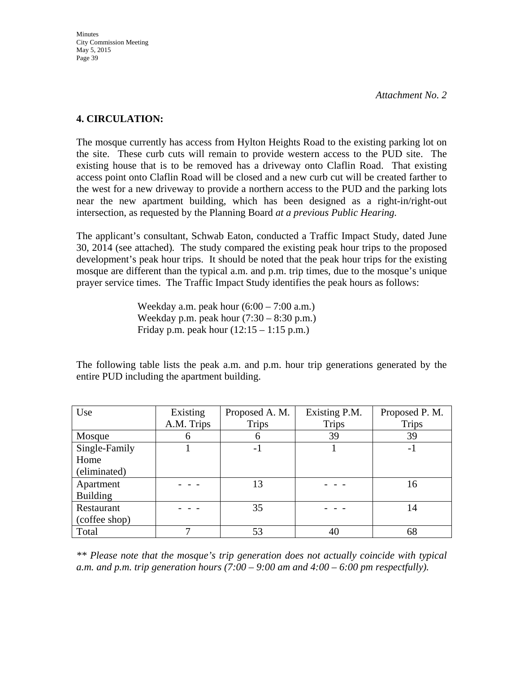### **4. CIRCULATION:**

The mosque currently has access from Hylton Heights Road to the existing parking lot on the site. These curb cuts will remain to provide western access to the PUD site. The existing house that is to be removed has a driveway onto Claflin Road. That existing access point onto Claflin Road will be closed and a new curb cut will be created farther to the west for a new driveway to provide a northern access to the PUD and the parking lots near the new apartment building, which has been designed as a right-in/right-out intersection, as requested by the Planning Board *at a previous Public Hearing.* 

The applicant's consultant, Schwab Eaton, conducted a Traffic Impact Study, dated June 30, 2014 (see attached)*.* The study compared the existing peak hour trips to the proposed development's peak hour trips. It should be noted that the peak hour trips for the existing mosque are different than the typical a.m. and p.m. trip times, due to the mosque's unique prayer service times. The Traffic Impact Study identifies the peak hours as follows:

> Weekday a.m. peak hour  $(6:00 - 7:00$  a.m.) Weekday p.m. peak hour  $(7:30 - 8:30)$  p.m.) Friday p.m. peak hour  $(12:15 - 1:15)$  p.m.)

The following table lists the peak a.m. and p.m. hour trip generations generated by the entire PUD including the apartment building.

| Use             | Existing   | Proposed A. M. | Existing P.M. | Proposed P. M. |
|-----------------|------------|----------------|---------------|----------------|
|                 | A.M. Trips | <b>Trips</b>   | <b>Trips</b>  | <b>Trips</b>   |
| Mosque          | 6          | 6              | 39            | 39             |
| Single-Family   |            | -1             |               | $-1$           |
| Home            |            |                |               |                |
| (eliminated)    |            |                |               |                |
| Apartment       |            | 13             |               | 16             |
| <b>Building</b> |            |                |               |                |
| Restaurant      |            | 35             |               | 14             |
| (coffee shop)   |            |                |               |                |
| Total           |            | 53             | 40            | 68             |

*\*\* Please note that the mosque's trip generation does not actually coincide with typical*  a.m. and p.m. trip generation hours  $(7:00 - 9:00$  am and  $4:00 - 6:00$  pm respectfully).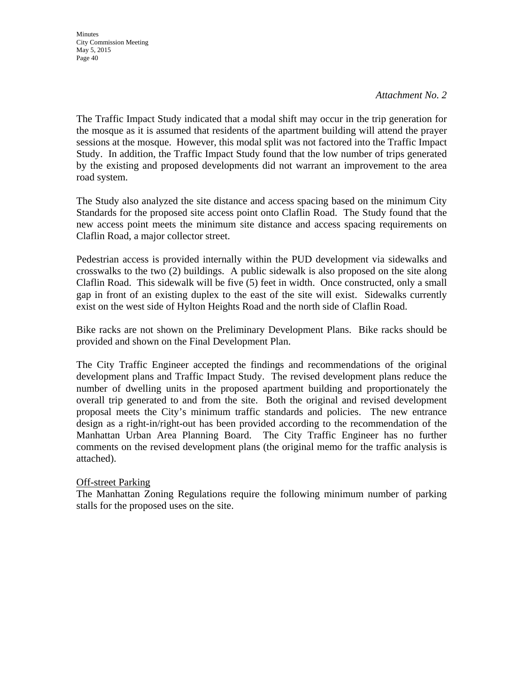#### *Attachment No. 2*

The Traffic Impact Study indicated that a modal shift may occur in the trip generation for the mosque as it is assumed that residents of the apartment building will attend the prayer sessions at the mosque. However, this modal split was not factored into the Traffic Impact Study. In addition, the Traffic Impact Study found that the low number of trips generated by the existing and proposed developments did not warrant an improvement to the area road system.

The Study also analyzed the site distance and access spacing based on the minimum City Standards for the proposed site access point onto Claflin Road. The Study found that the new access point meets the minimum site distance and access spacing requirements on Claflin Road, a major collector street.

Pedestrian access is provided internally within the PUD development via sidewalks and crosswalks to the two (2) buildings. A public sidewalk is also proposed on the site along Claflin Road. This sidewalk will be five (5) feet in width. Once constructed, only a small gap in front of an existing duplex to the east of the site will exist. Sidewalks currently exist on the west side of Hylton Heights Road and the north side of Claflin Road.

Bike racks are not shown on the Preliminary Development Plans. Bike racks should be provided and shown on the Final Development Plan.

The City Traffic Engineer accepted the findings and recommendations of the original development plans and Traffic Impact Study. The revised development plans reduce the number of dwelling units in the proposed apartment building and proportionately the overall trip generated to and from the site. Both the original and revised development proposal meets the City's minimum traffic standards and policies. The new entrance design as a right-in/right-out has been provided according to the recommendation of the Manhattan Urban Area Planning Board. The City Traffic Engineer has no further comments on the revised development plans (the original memo for the traffic analysis is attached).

#### Off-street Parking

The Manhattan Zoning Regulations require the following minimum number of parking stalls for the proposed uses on the site.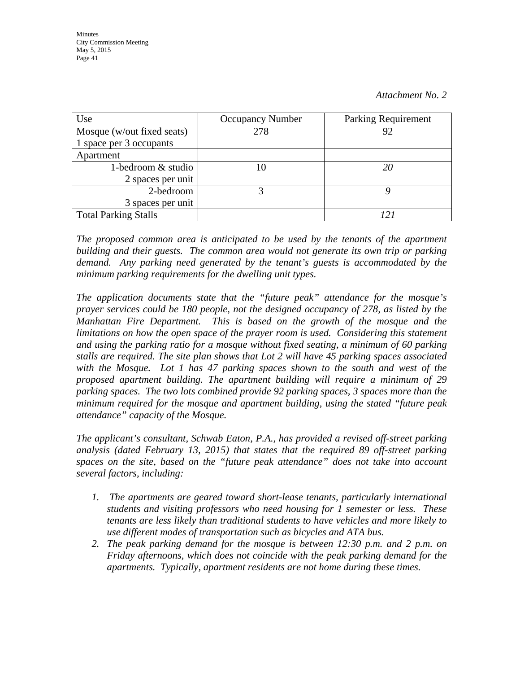| Use                         | <b>Occupancy Number</b> | <b>Parking Requirement</b> |
|-----------------------------|-------------------------|----------------------------|
| Mosque (w/out fixed seats)  | 278                     | 92                         |
| 1 space per 3 occupants     |                         |                            |
| Apartment                   |                         |                            |
| 1-bedroom $&$ studio        |                         | 20                         |
| 2 spaces per unit           |                         |                            |
| 2-bedroom                   |                         |                            |
| 3 spaces per unit           |                         |                            |
| <b>Total Parking Stalls</b> |                         | 12.                        |

*The proposed common area is anticipated to be used by the tenants of the apartment building and their guests. The common area would not generate its own trip or parking demand. Any parking need generated by the tenant's guests is accommodated by the minimum parking requirements for the dwelling unit types.* 

*The application documents state that the "future peak" attendance for the mosque's prayer services could be 180 people, not the designed occupancy of 278, as listed by the Manhattan Fire Department. This is based on the growth of the mosque and the limitations on how the open space of the prayer room is used. Considering this statement and using the parking ratio for a mosque without fixed seating, a minimum of 60 parking stalls are required. The site plan shows that Lot 2 will have 45 parking spaces associated with the Mosque. Lot 1 has 47 parking spaces shown to the south and west of the proposed apartment building. The apartment building will require a minimum of 29 parking spaces. The two lots combined provide 92 parking spaces, 3 spaces more than the minimum required for the mosque and apartment building, using the stated "future peak attendance" capacity of the Mosque.* 

*The applicant's consultant, Schwab Eaton, P.A., has provided a revised off-street parking analysis (dated February 13, 2015) that states that the required 89 off-street parking spaces on the site, based on the "future peak attendance" does not take into account several factors, including:* 

- *1. The apartments are geared toward short-lease tenants, particularly international students and visiting professors who need housing for 1 semester or less. These tenants are less likely than traditional students to have vehicles and more likely to use different modes of transportation such as bicycles and ATA bus.*
- *2. The peak parking demand for the mosque is between 12:30 p.m. and 2 p.m. on Friday afternoons, which does not coincide with the peak parking demand for the apartments. Typically, apartment residents are not home during these times.*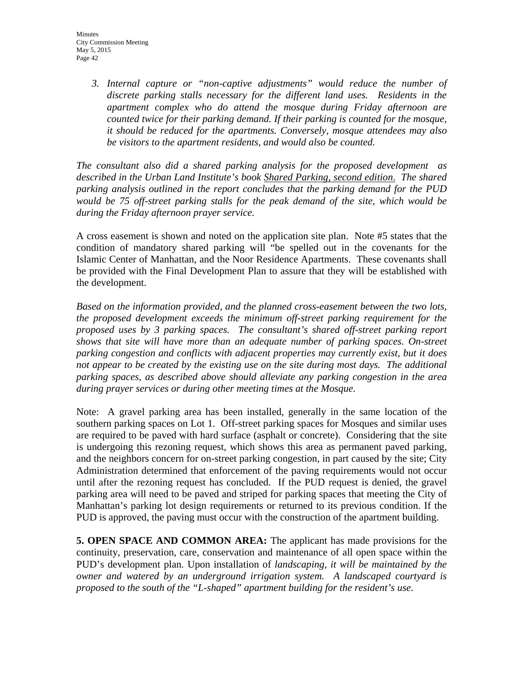*3. Internal capture or "non-captive adjustments" would reduce the number of discrete parking stalls necessary for the different land uses. Residents in the apartment complex who do attend the mosque during Friday afternoon are counted twice for their parking demand. If their parking is counted for the mosque, it should be reduced for the apartments. Conversely, mosque attendees may also be visitors to the apartment residents, and would also be counted.* 

*The consultant also did a shared parking analysis for the proposed development as described in the Urban Land Institute's book Shared Parking, second edition*. *The shared parking analysis outlined in the report concludes that the parking demand for the PUD would be 75 off-street parking stalls for the peak demand of the site, which would be during the Friday afternoon prayer service.* 

A cross easement is shown and noted on the application site plan. Note #5 states that the condition of mandatory shared parking will "be spelled out in the covenants for the Islamic Center of Manhattan, and the Noor Residence Apartments. These covenants shall be provided with the Final Development Plan to assure that they will be established with the development.

*Based on the information provided, and the planned cross-easement between the two lots, the proposed development exceeds the minimum off-street parking requirement for the proposed uses by 3 parking spaces. The consultant's shared off-street parking report shows that site will have more than an adequate number of parking spaces. On-street parking congestion and conflicts with adjacent properties may currently exist, but it does not appear to be created by the existing use on the site during most days. The additional parking spaces, as described above should alleviate any parking congestion in the area during prayer services or during other meeting times at the Mosque.* 

Note: A gravel parking area has been installed, generally in the same location of the southern parking spaces on Lot 1. Off-street parking spaces for Mosques and similar uses are required to be paved with hard surface (asphalt or concrete). Considering that the site is undergoing this rezoning request, which shows this area as permanent paved parking, and the neighbors concern for on-street parking congestion, in part caused by the site; City Administration determined that enforcement of the paving requirements would not occur until after the rezoning request has concluded. If the PUD request is denied, the gravel parking area will need to be paved and striped for parking spaces that meeting the City of Manhattan's parking lot design requirements or returned to its previous condition. If the PUD is approved, the paving must occur with the construction of the apartment building.

**5. OPEN SPACE AND COMMON AREA:** The applicant has made provisions for the continuity, preservation, care, conservation and maintenance of all open space within the PUD's development plan. Upon installation of *landscaping, it will be maintained by the owner and watered by an underground irrigation system. A landscaped courtyard is proposed to the south of the "L-shaped" apartment building for the resident's use.*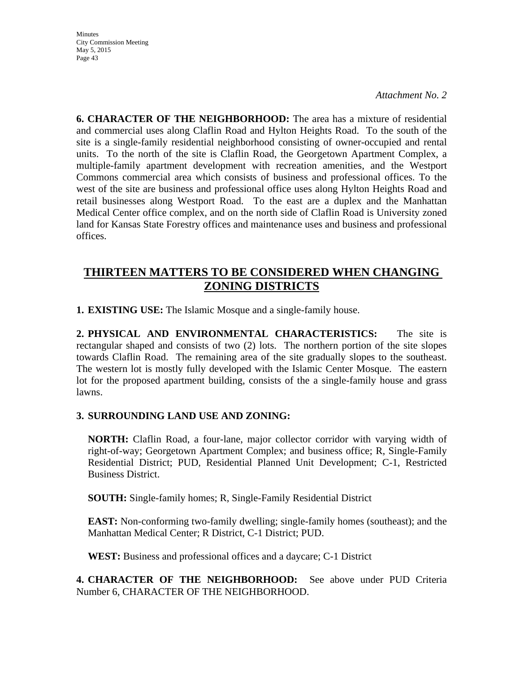*Attachment No. 2* 

**6. CHARACTER OF THE NEIGHBORHOOD:** The area has a mixture of residential and commercial uses along Claflin Road and Hylton Heights Road. To the south of the site is a single-family residential neighborhood consisting of owner-occupied and rental units. To the north of the site is Claflin Road, the Georgetown Apartment Complex, a multiple-family apartment development with recreation amenities, and the Westport Commons commercial area which consists of business and professional offices. To the west of the site are business and professional office uses along Hylton Heights Road and retail businesses along Westport Road. To the east are a duplex and the Manhattan Medical Center office complex, and on the north side of Claflin Road is University zoned land for Kansas State Forestry offices and maintenance uses and business and professional offices.

# **THIRTEEN MATTERS TO BE CONSIDERED WHEN CHANGING ZONING DISTRICTS**

**1. EXISTING USE:** The Islamic Mosque and a single-family house.

**2. PHYSICAL AND ENVIRONMENTAL CHARACTERISTICS:** The site is rectangular shaped and consists of two (2) lots. The northern portion of the site slopes towards Claflin Road. The remaining area of the site gradually slopes to the southeast. The western lot is mostly fully developed with the Islamic Center Mosque. The eastern lot for the proposed apartment building, consists of the a single-family house and grass lawns.

## **3. SURROUNDING LAND USE AND ZONING:**

**NORTH:** Claflin Road, a four-lane, major collector corridor with varying width of right-of-way; Georgetown Apartment Complex; and business office; R, Single-Family Residential District; PUD, Residential Planned Unit Development; C-1, Restricted Business District.

**SOUTH:** Single-family homes; R, Single-Family Residential District

**EAST:** Non-conforming two-family dwelling; single-family homes (southeast); and the Manhattan Medical Center; R District, C-1 District; PUD.

**WEST:** Business and professional offices and a daycare; C-1 District

**4. CHARACTER OF THE NEIGHBORHOOD:** See above under PUD Criteria Number 6, CHARACTER OF THE NEIGHBORHOOD.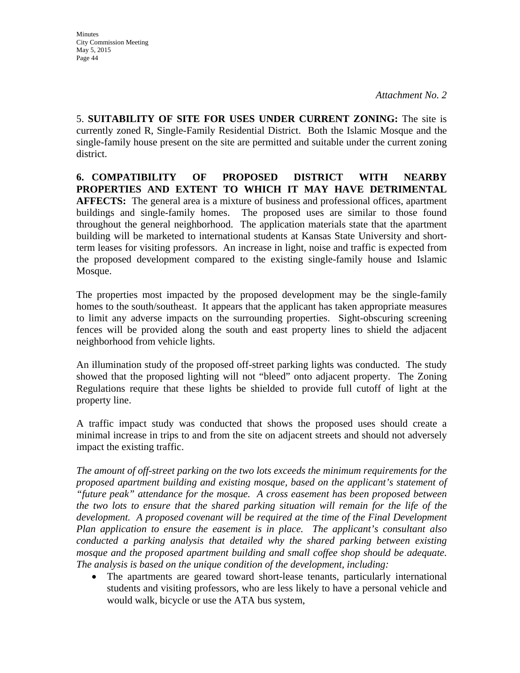5. **SUITABILITY OF SITE FOR USES UNDER CURRENT ZONING:** The site is currently zoned R, Single-Family Residential District. Both the Islamic Mosque and the single-family house present on the site are permitted and suitable under the current zoning district.

**6. COMPATIBILITY OF PROPOSED DISTRICT WITH NEARBY PROPERTIES AND EXTENT TO WHICH IT MAY HAVE DETRIMENTAL**  AFFECTS: The general area is a mixture of business and professional offices, apartment buildings and single-family homes. The proposed uses are similar to those found throughout the general neighborhood. The application materials state that the apartment building will be marketed to international students at Kansas State University and shortterm leases for visiting professors. An increase in light, noise and traffic is expected from the proposed development compared to the existing single-family house and Islamic Mosque.

The properties most impacted by the proposed development may be the single-family homes to the south/southeast. It appears that the applicant has taken appropriate measures to limit any adverse impacts on the surrounding properties. Sight-obscuring screening fences will be provided along the south and east property lines to shield the adjacent neighborhood from vehicle lights.

An illumination study of the proposed off-street parking lights was conducted. The study showed that the proposed lighting will not "bleed" onto adjacent property. The Zoning Regulations require that these lights be shielded to provide full cutoff of light at the property line.

A traffic impact study was conducted that shows the proposed uses should create a minimal increase in trips to and from the site on adjacent streets and should not adversely impact the existing traffic.

*The amount of off-street parking on the two lots exceeds the minimum requirements for the proposed apartment building and existing mosque, based on the applicant's statement of "future peak" attendance for the mosque. A cross easement has been proposed between the two lots to ensure that the shared parking situation will remain for the life of the*  development. A proposed covenant will be required at the time of the Final Development *Plan application to ensure the easement is in place. The applicant's consultant also conducted a parking analysis that detailed why the shared parking between existing mosque and the proposed apartment building and small coffee shop should be adequate. The analysis is based on the unique condition of the development, including:*

• The apartments are geared toward short-lease tenants, particularly international students and visiting professors, who are less likely to have a personal vehicle and would walk, bicycle or use the ATA bus system,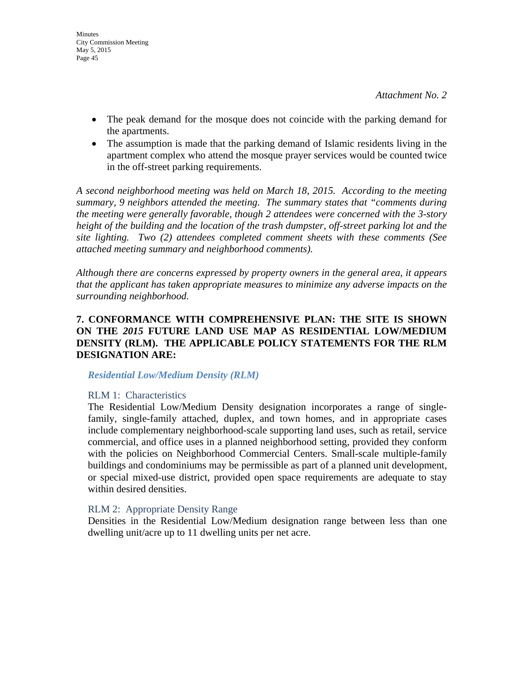- The peak demand for the mosque does not coincide with the parking demand for the apartments.
- The assumption is made that the parking demand of Islamic residents living in the apartment complex who attend the mosque prayer services would be counted twice in the off-street parking requirements.

*A second neighborhood meeting was held on March 18, 2015. According to the meeting summary, 9 neighbors attended the meeting. The summary states that "comments during the meeting were generally favorable, though 2 attendees were concerned with the 3-story height of the building and the location of the trash dumpster, off-street parking lot and the site lighting. Two (2) attendees completed comment sheets with these comments (See attached meeting summary and neighborhood comments).*

*Although there are concerns expressed by property owners in the general area, it appears that the applicant has taken appropriate measures to minimize any adverse impacts on the surrounding neighborhood.* 

### **7. CONFORMANCE WITH COMPREHENSIVE PLAN: THE SITE IS SHOWN ON THE** *2015* **FUTURE LAND USE MAP AS RESIDENTIAL LOW/MEDIUM DENSITY (RLM). THE APPLICABLE POLICY STATEMENTS FOR THE RLM DESIGNATION ARE:**

### *Residential Low/Medium Density (RLM)*

### RLM 1: Characteristics

The Residential Low/Medium Density designation incorporates a range of singlefamily, single-family attached, duplex, and town homes, and in appropriate cases include complementary neighborhood-scale supporting land uses, such as retail, service commercial, and office uses in a planned neighborhood setting, provided they conform with the policies on Neighborhood Commercial Centers. Small-scale multiple-family buildings and condominiums may be permissible as part of a planned unit development, or special mixed-use district, provided open space requirements are adequate to stay within desired densities.

### RLM 2: Appropriate Density Range

Densities in the Residential Low/Medium designation range between less than one dwelling unit/acre up to 11 dwelling units per net acre.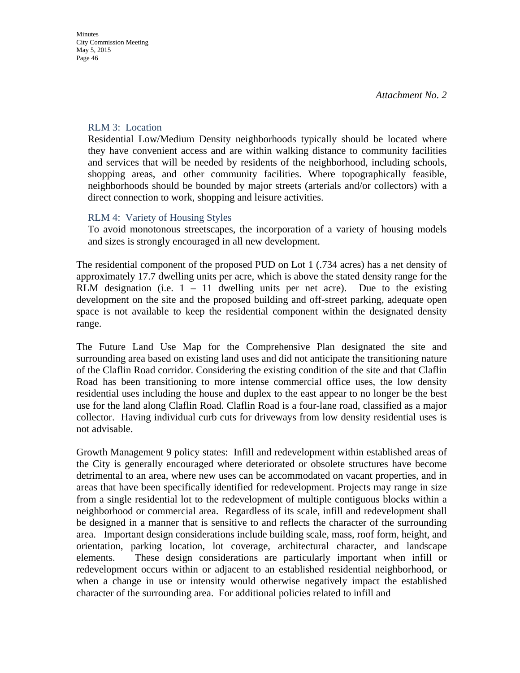### RLM 3: Location

Residential Low/Medium Density neighborhoods typically should be located where they have convenient access and are within walking distance to community facilities and services that will be needed by residents of the neighborhood, including schools, shopping areas, and other community facilities. Where topographically feasible, neighborhoods should be bounded by major streets (arterials and/or collectors) with a direct connection to work, shopping and leisure activities.

## RLM 4: Variety of Housing Styles

To avoid monotonous streetscapes, the incorporation of a variety of housing models and sizes is strongly encouraged in all new development.

The residential component of the proposed PUD on Lot 1 (.734 acres) has a net density of approximately 17.7 dwelling units per acre, which is above the stated density range for the RLM designation (i.e.  $1 - 11$  dwelling units per net acre). Due to the existing development on the site and the proposed building and off-street parking, adequate open space is not available to keep the residential component within the designated density range.

The Future Land Use Map for the Comprehensive Plan designated the site and surrounding area based on existing land uses and did not anticipate the transitioning nature of the Claflin Road corridor. Considering the existing condition of the site and that Claflin Road has been transitioning to more intense commercial office uses, the low density residential uses including the house and duplex to the east appear to no longer be the best use for the land along Claflin Road. Claflin Road is a four-lane road, classified as a major collector. Having individual curb cuts for driveways from low density residential uses is not advisable.

Growth Management 9 policy states: Infill and redevelopment within established areas of the City is generally encouraged where deteriorated or obsolete structures have become detrimental to an area, where new uses can be accommodated on vacant properties, and in areas that have been specifically identified for redevelopment. Projects may range in size from a single residential lot to the redevelopment of multiple contiguous blocks within a neighborhood or commercial area. Regardless of its scale, infill and redevelopment shall be designed in a manner that is sensitive to and reflects the character of the surrounding area. Important design considerations include building scale, mass, roof form, height, and orientation, parking location, lot coverage, architectural character, and landscape elements. These design considerations are particularly important when infill or redevelopment occurs within or adjacent to an established residential neighborhood, or when a change in use or intensity would otherwise negatively impact the established character of the surrounding area. For additional policies related to infill and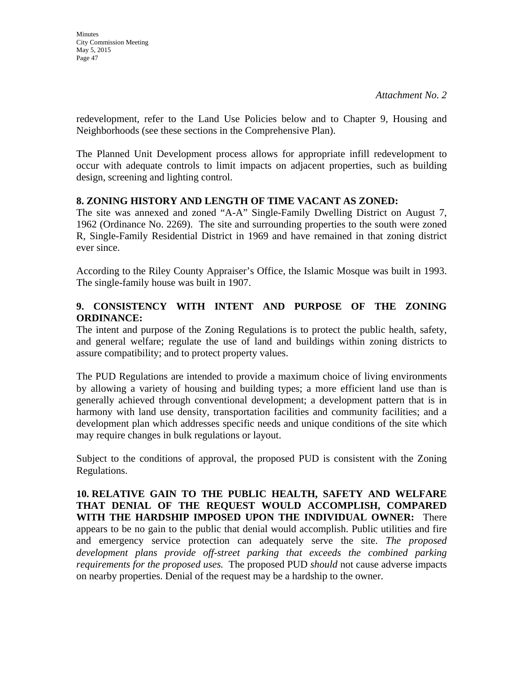redevelopment, refer to the Land Use Policies below and to Chapter 9, Housing and Neighborhoods (see these sections in the Comprehensive Plan).

The Planned Unit Development process allows for appropriate infill redevelopment to occur with adequate controls to limit impacts on adjacent properties, such as building design, screening and lighting control.

### **8. ZONING HISTORY AND LENGTH OF TIME VACANT AS ZONED:**

The site was annexed and zoned "A-A" Single-Family Dwelling District on August 7, 1962 (Ordinance No. 2269). The site and surrounding properties to the south were zoned R, Single-Family Residential District in 1969 and have remained in that zoning district ever since.

According to the Riley County Appraiser's Office, the Islamic Mosque was built in 1993. The single-family house was built in 1907.

### **9. CONSISTENCY WITH INTENT AND PURPOSE OF THE ZONING ORDINANCE:**

The intent and purpose of the Zoning Regulations is to protect the public health, safety, and general welfare; regulate the use of land and buildings within zoning districts to assure compatibility; and to protect property values.

The PUD Regulations are intended to provide a maximum choice of living environments by allowing a variety of housing and building types; a more efficient land use than is generally achieved through conventional development; a development pattern that is in harmony with land use density, transportation facilities and community facilities; and a development plan which addresses specific needs and unique conditions of the site which may require changes in bulk regulations or layout.

Subject to the conditions of approval, the proposed PUD is consistent with the Zoning Regulations.

**10. RELATIVE GAIN TO THE PUBLIC HEALTH, SAFETY AND WELFARE THAT DENIAL OF THE REQUEST WOULD ACCOMPLISH, COMPARED WITH THE HARDSHIP IMPOSED UPON THE INDIVIDUAL OWNER:** There appears to be no gain to the public that denial would accomplish. Public utilities and fire and emergency service protection can adequately serve the site. *The proposed*  development plans provide off-street parking that exceeds the combined parking *requirements for the proposed uses.* The proposed PUD *should* not cause adverse impacts on nearby properties. Denial of the request may be a hardship to the owner.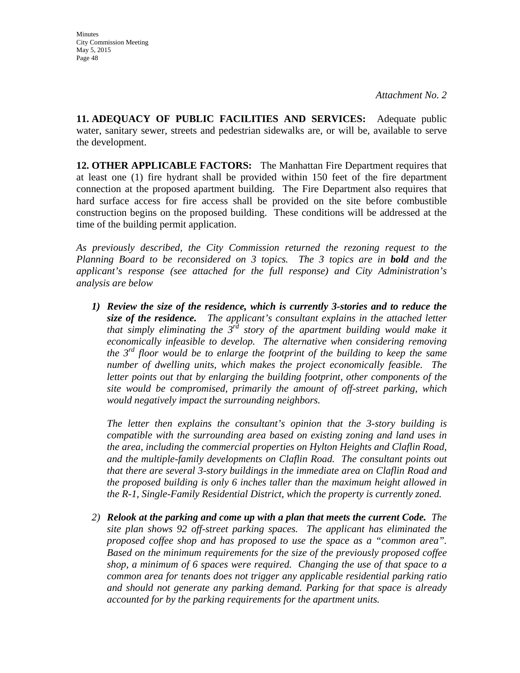**11. ADEQUACY OF PUBLIC FACILITIES AND SERVICES:** Adequate public water, sanitary sewer, streets and pedestrian sidewalks are, or will be, available to serve the development.

**12. OTHER APPLICABLE FACTORS:** The Manhattan Fire Department requires that at least one (1) fire hydrant shall be provided within 150 feet of the fire department connection at the proposed apartment building. The Fire Department also requires that hard surface access for fire access shall be provided on the site before combustible construction begins on the proposed building. These conditions will be addressed at the time of the building permit application.

*As previously described, the City Commission returned the rezoning request to the Planning Board to be reconsidered on 3 topics. The 3 topics are in bold and the applicant's response (see attached for the full response) and City Administration's analysis are below* 

*1) Review the size of the residence, which is currently 3-stories and to reduce the size of the residence. The applicant's consultant explains in the attached letter that simply eliminating the 3rd story of the apartment building would make it economically infeasible to develop. The alternative when considering removing the 3rd floor would be to enlarge the footprint of the building to keep the same number of dwelling units, which makes the project economically feasible. The letter points out that by enlarging the building footprint, other components of the site would be compromised, primarily the amount of off-street parking, which would negatively impact the surrounding neighbors.*

*The letter then explains the consultant's opinion that the 3-story building is compatible with the surrounding area based on existing zoning and land uses in the area, including the commercial properties on Hylton Heights and Claflin Road, and the multiple-family developments on Claflin Road. The consultant points out that there are several 3-story buildings in the immediate area on Claflin Road and the proposed building is only 6 inches taller than the maximum height allowed in the R-1, Single-Family Residential District, which the property is currently zoned.* 

*2) Relook at the parking and come up with a plan that meets the current Code. The site plan shows 92 off-street parking spaces. The applicant has eliminated the proposed coffee shop and has proposed to use the space as a "common area". Based on the minimum requirements for the size of the previously proposed coffee shop, a minimum of 6 spaces were required. Changing the use of that space to a common area for tenants does not trigger any applicable residential parking ratio and should not generate any parking demand. Parking for that space is already accounted for by the parking requirements for the apartment units.*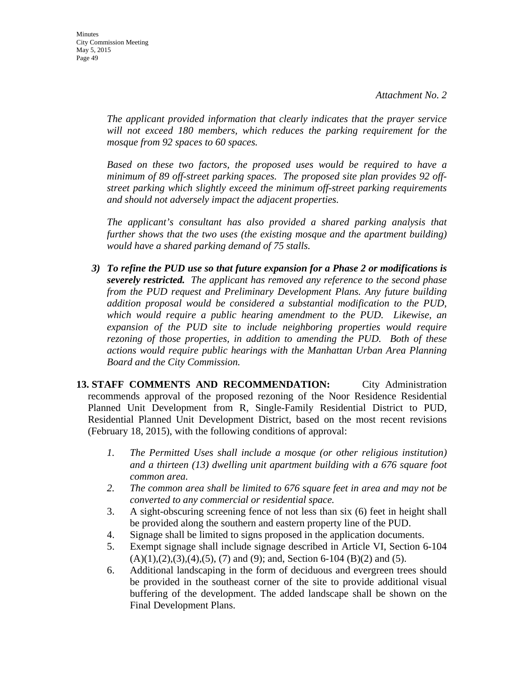*The applicant provided information that clearly indicates that the prayer service will not exceed 180 members, which reduces the parking requirement for the mosque from 92 spaces to 60 spaces.* 

*Based on these two factors, the proposed uses would be required to have a minimum of 89 off-street parking spaces. The proposed site plan provides 92 offstreet parking which slightly exceed the minimum off-street parking requirements and should not adversely impact the adjacent properties.* 

*The applicant's consultant has also provided a shared parking analysis that further shows that the two uses (the existing mosque and the apartment building) would have a shared parking demand of 75 stalls.* 

*3) To refine the PUD use so that future expansion for a Phase 2 or modifications is severely restricted. The applicant has removed any reference to the second phase from the PUD request and Preliminary Development Plans. Any future building addition proposal would be considered a substantial modification to the PUD, which would require a public hearing amendment to the PUD. Likewise, an expansion of the PUD site to include neighboring properties would require rezoning of those properties, in addition to amending the PUD. Both of these actions would require public hearings with the Manhattan Urban Area Planning Board and the City Commission.*

**13. STAFF COMMENTS AND RECOMMENDATION:** City Administration recommends approval of the proposed rezoning of the Noor Residence Residential Planned Unit Development from R, Single-Family Residential District to PUD, Residential Planned Unit Development District, based on the most recent revisions (February 18, 2015), with the following conditions of approval:

- *1. The Permitted Uses shall include a mosque (or other religious institution) and a thirteen (13) dwelling unit apartment building with a 676 square foot common area.*
- *2. The common area shall be limited to 676 square feet in area and may not be converted to any commercial or residential space.*
- 3. A sight-obscuring screening fence of not less than six (6) feet in height shall be provided along the southern and eastern property line of the PUD.
- 4. Signage shall be limited to signs proposed in the application documents.
- 5. Exempt signage shall include signage described in Article VI, Section 6-104  $(A)(1),(2),(3),(4),(5),(7)$  and  $(9)$ ; and, Section 6-104  $(B)(2)$  and  $(5)$ .
- 6. Additional landscaping in the form of deciduous and evergreen trees should be provided in the southeast corner of the site to provide additional visual buffering of the development. The added landscape shall be shown on the Final Development Plans.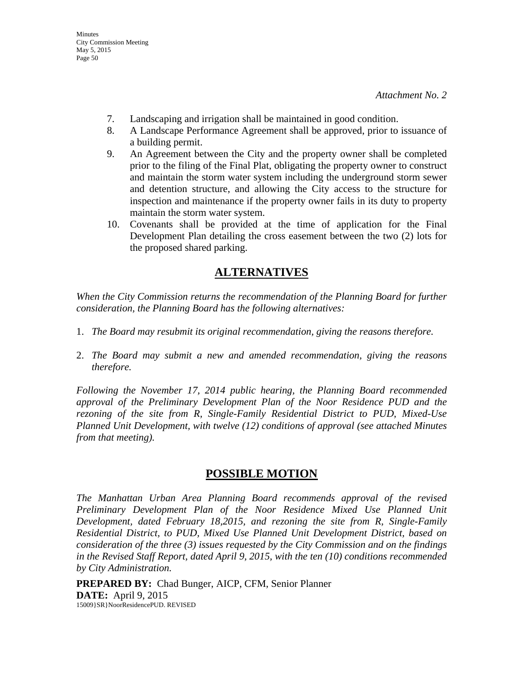- 7. Landscaping and irrigation shall be maintained in good condition.
- 8. A Landscape Performance Agreement shall be approved, prior to issuance of a building permit.
- 9. An Agreement between the City and the property owner shall be completed prior to the filing of the Final Plat, obligating the property owner to construct and maintain the storm water system including the underground storm sewer and detention structure, and allowing the City access to the structure for inspection and maintenance if the property owner fails in its duty to property maintain the storm water system.
- 10. Covenants shall be provided at the time of application for the Final Development Plan detailing the cross easement between the two (2) lots for the proposed shared parking.

# **ALTERNATIVES**

*When the City Commission returns the recommendation of the Planning Board for further consideration, the Planning Board has the following alternatives:* 

- 1. *The Board may resubmit its original recommendation, giving the reasons therefore.*
- 2. *The Board may submit a new and amended recommendation, giving the reasons therefore.*

*Following the November 17, 2014 public hearing, the Planning Board recommended approval of the Preliminary Development Plan of the Noor Residence PUD and the rezoning of the site from R, Single-Family Residential District to PUD, Mixed-Use Planned Unit Development, with twelve (12) conditions of approval (see attached Minutes from that meeting).* 

# **POSSIBLE MOTION**

*The Manhattan Urban Area Planning Board recommends approval of the revised Preliminary Development Plan of the Noor Residence Mixed Use Planned Unit Development, dated February 18,2015, and rezoning the site from R, Single-Family Residential District, to PUD, Mixed Use Planned Unit Development District, based on consideration of the three (3) issues requested by the City Commission and on the findings in the Revised Staff Report, dated April 9, 2015, with the ten (10) conditions recommended by City Administration.* 

**PREPARED BY:** Chad Bunger, AICP, CFM, Senior Planner **DATE:** April 9, 2015 15009}SR}NoorResidencePUD. REVISED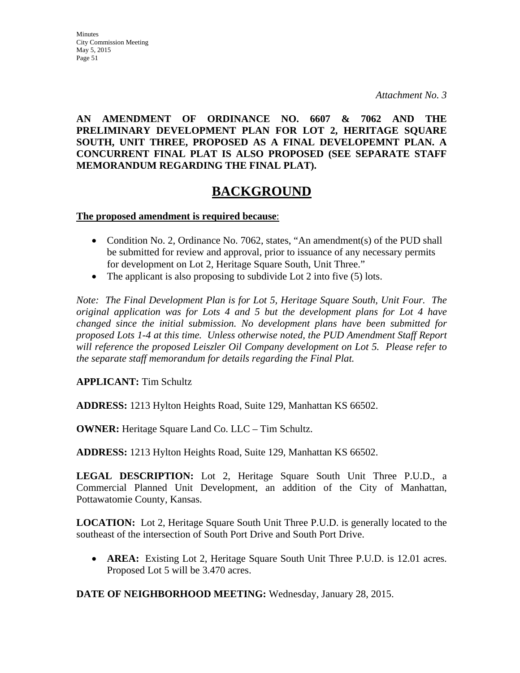**AN AMENDMENT OF ORDINANCE NO. 6607 & 7062 AND THE PRELIMINARY DEVELOPMENT PLAN FOR LOT 2, HERITAGE SQUARE SOUTH, UNIT THREE, PROPOSED AS A FINAL DEVELOPEMNT PLAN. A CONCURRENT FINAL PLAT IS ALSO PROPOSED (SEE SEPARATE STAFF MEMORANDUM REGARDING THE FINAL PLAT).** 

# **BACKGROUND**

**The proposed amendment is required because**:

- Condition No. 2, Ordinance No. 7062, states, "An amendment(s) of the PUD shall be submitted for review and approval, prior to issuance of any necessary permits for development on Lot 2, Heritage Square South, Unit Three."
- $\bullet$  The applicant is also proposing to subdivide Lot 2 into five (5) lots.

*Note: The Final Development Plan is for Lot 5, Heritage Square South, Unit Four. The original application was for Lots 4 and 5 but the development plans for Lot 4 have changed since the initial submission. No development plans have been submitted for proposed Lots 1-4 at this time. Unless otherwise noted, the PUD Amendment Staff Report will reference the proposed Leiszler Oil Company development on Lot 5. Please refer to the separate staff memorandum for details regarding the Final Plat.* 

**APPLICANT:** Tim Schultz

**ADDRESS:** 1213 Hylton Heights Road, Suite 129, Manhattan KS 66502.

**OWNER:** Heritage Square Land Co. LLC – Tim Schultz.

**ADDRESS:** 1213 Hylton Heights Road, Suite 129, Manhattan KS 66502.

LEGAL DESCRIPTION: Lot 2, Heritage Square South Unit Three P.U.D., a Commercial Planned Unit Development, an addition of the City of Manhattan, Pottawatomie County, Kansas.

**LOCATION:** Lot 2, Heritage Square South Unit Three P.U.D. is generally located to the southeast of the intersection of South Port Drive and South Port Drive.

• **AREA:** Existing Lot 2, Heritage Square South Unit Three P.U.D. is 12.01 acres. Proposed Lot 5 will be 3.470 acres.

**DATE OF NEIGHBORHOOD MEETING:** Wednesday, January 28, 2015.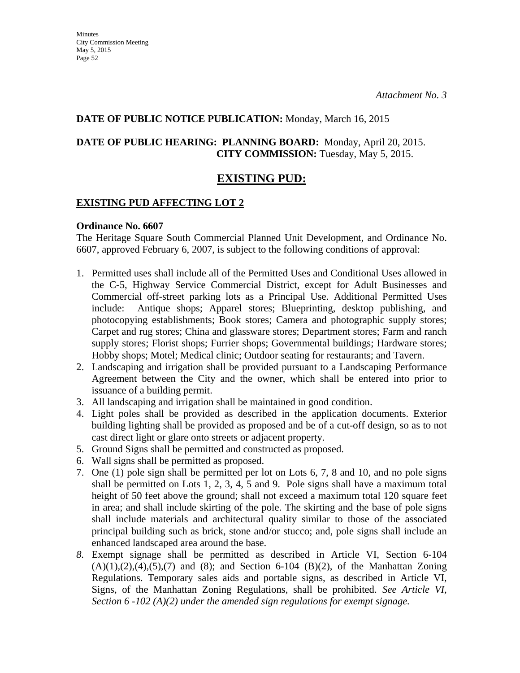### **DATE OF PUBLIC NOTICE PUBLICATION:** Monday, March 16, 2015

### **DATE OF PUBLIC HEARING: PLANNING BOARD:** Monday, April 20, 2015. **CITY COMMISSION:** Tuesday, May 5, 2015.

## **EXISTING PUD:**

### **EXISTING PUD AFFECTING LOT 2**

#### **Ordinance No. 6607**

The Heritage Square South Commercial Planned Unit Development, and Ordinance No. 6607, approved February 6, 2007, is subject to the following conditions of approval:

- 1. Permitted uses shall include all of the Permitted Uses and Conditional Uses allowed in the C-5, Highway Service Commercial District, except for Adult Businesses and Commercial off-street parking lots as a Principal Use. Additional Permitted Uses include: Antique shops; Apparel stores; Blueprinting, desktop publishing, and photocopying establishments; Book stores; Camera and photographic supply stores; Carpet and rug stores; China and glassware stores; Department stores; Farm and ranch supply stores; Florist shops; Furrier shops; Governmental buildings; Hardware stores; Hobby shops; Motel; Medical clinic; Outdoor seating for restaurants; and Tavern.
- 2. Landscaping and irrigation shall be provided pursuant to a Landscaping Performance Agreement between the City and the owner, which shall be entered into prior to issuance of a building permit.
- 3. All landscaping and irrigation shall be maintained in good condition.
- 4. Light poles shall be provided as described in the application documents. Exterior building lighting shall be provided as proposed and be of a cut-off design, so as to not cast direct light or glare onto streets or adjacent property.
- 5. Ground Signs shall be permitted and constructed as proposed.
- 6. Wall signs shall be permitted as proposed.
- 7. One (1) pole sign shall be permitted per lot on Lots 6, 7, 8 and 10, and no pole signs shall be permitted on Lots 1, 2, 3, 4, 5 and 9. Pole signs shall have a maximum total height of 50 feet above the ground; shall not exceed a maximum total 120 square feet in area; and shall include skirting of the pole. The skirting and the base of pole signs shall include materials and architectural quality similar to those of the associated principal building such as brick, stone and/or stucco; and, pole signs shall include an enhanced landscaped area around the base.
- *8.* Exempt signage shall be permitted as described in Article VI, Section 6-104  $(A)(1),(2),(4),(5),(7)$  and  $(8)$ ; and Section 6-104  $(B)(2)$ , of the Manhattan Zoning Regulations. Temporary sales aids and portable signs, as described in Article VI, Signs, of the Manhattan Zoning Regulations, shall be prohibited. *See Article VI, Section 6 -102 (A)(2) under the amended sign regulations for exempt signage.*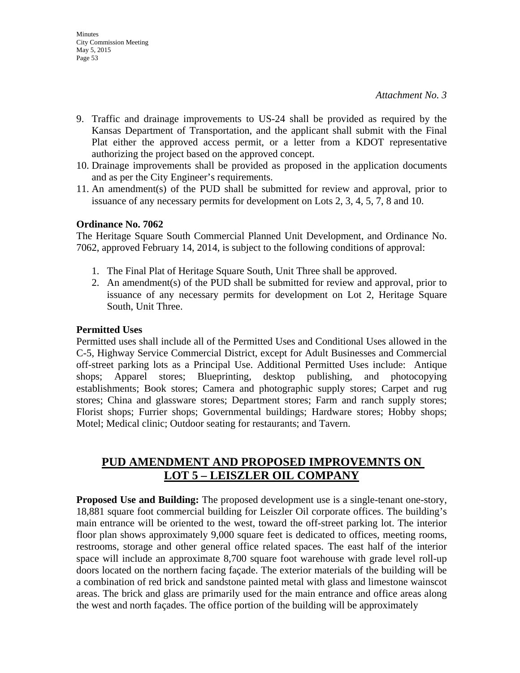- 9. Traffic and drainage improvements to US-24 shall be provided as required by the Kansas Department of Transportation, and the applicant shall submit with the Final Plat either the approved access permit, or a letter from a KDOT representative authorizing the project based on the approved concept.
- 10. Drainage improvements shall be provided as proposed in the application documents and as per the City Engineer's requirements.
- 11. An amendment(s) of the PUD shall be submitted for review and approval, prior to issuance of any necessary permits for development on Lots 2, 3, 4, 5, 7, 8 and 10.

#### **Ordinance No. 7062**

The Heritage Square South Commercial Planned Unit Development, and Ordinance No. 7062, approved February 14, 2014, is subject to the following conditions of approval:

- 1. The Final Plat of Heritage Square South, Unit Three shall be approved.
- 2. An amendment(s) of the PUD shall be submitted for review and approval, prior to issuance of any necessary permits for development on Lot 2, Heritage Square South, Unit Three.

### **Permitted Uses**

Permitted uses shall include all of the Permitted Uses and Conditional Uses allowed in the C-5, Highway Service Commercial District, except for Adult Businesses and Commercial off-street parking lots as a Principal Use. Additional Permitted Uses include: Antique shops; Apparel stores; Blueprinting, desktop publishing, and photocopying establishments; Book stores; Camera and photographic supply stores; Carpet and rug stores; China and glassware stores; Department stores; Farm and ranch supply stores; Florist shops; Furrier shops; Governmental buildings; Hardware stores; Hobby shops; Motel; Medical clinic; Outdoor seating for restaurants; and Tavern.

# **PUD AMENDMENT AND PROPOSED IMPROVEMNTS ON LOT 5 – LEISZLER OIL COMPANY**

**Proposed Use and Building:** The proposed development use is a single-tenant one-story, 18,881 square foot commercial building for Leiszler Oil corporate offices. The building's main entrance will be oriented to the west, toward the off-street parking lot. The interior floor plan shows approximately 9,000 square feet is dedicated to offices, meeting rooms, restrooms, storage and other general office related spaces. The east half of the interior space will include an approximate 8,700 square foot warehouse with grade level roll-up doors located on the northern facing façade. The exterior materials of the building will be a combination of red brick and sandstone painted metal with glass and limestone wainscot areas. The brick and glass are primarily used for the main entrance and office areas along the west and north façades. The office portion of the building will be approximately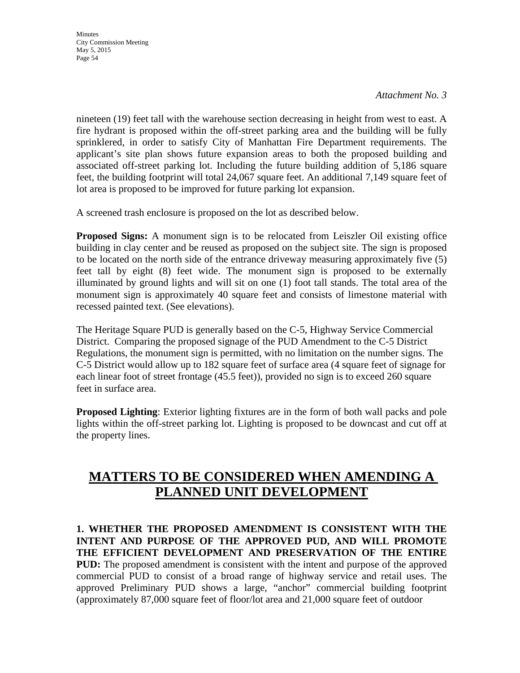#### *Attachment No. 3*

nineteen (19) feet tall with the warehouse section decreasing in height from west to east. A fire hydrant is proposed within the off-street parking area and the building will be fully sprinklered, in order to satisfy City of Manhattan Fire Department requirements. The applicant's site plan shows future expansion areas to both the proposed building and associated off-street parking lot. Including the future building addition of 5,186 square feet, the building footprint will total 24,067 square feet. An additional 7,149 square feet of lot area is proposed to be improved for future parking lot expansion.

A screened trash enclosure is proposed on the lot as described below.

**Proposed Signs:** A monument sign is to be relocated from Leiszler Oil existing office building in clay center and be reused as proposed on the subject site. The sign is proposed to be located on the north side of the entrance driveway measuring approximately five (5) feet tall by eight (8) feet wide. The monument sign is proposed to be externally illuminated by ground lights and will sit on one (1) foot tall stands. The total area of the monument sign is approximately 40 square feet and consists of limestone material with recessed painted text. (See elevations).

The Heritage Square PUD is generally based on the C-5, Highway Service Commercial District. Comparing the proposed signage of the PUD Amendment to the C-5 District Regulations, the monument sign is permitted, with no limitation on the number signs. The C-5 District would allow up to 182 square feet of surface area (4 square feet of signage for each linear foot of street frontage (45.5 feet)), provided no sign is to exceed 260 square feet in surface area.

**Proposed Lighting**: Exterior lighting fixtures are in the form of both wall packs and pole lights within the off-street parking lot. Lighting is proposed to be downcast and cut off at the property lines.

# **MATTERS TO BE CONSIDERED WHEN AMENDING A PLANNED UNIT DEVELOPMENT**

**1. WHETHER THE PROPOSED AMENDMENT IS CONSISTENT WITH THE INTENT AND PURPOSE OF THE APPROVED PUD, AND WILL PROMOTE THE EFFICIENT DEVELOPMENT AND PRESERVATION OF THE ENTIRE PUD:** The proposed amendment is consistent with the intent and purpose of the approved commercial PUD to consist of a broad range of highway service and retail uses. The approved Preliminary PUD shows a large, "anchor" commercial building footprint (approximately 87,000 square feet of floor/lot area and 21,000 square feet of outdoor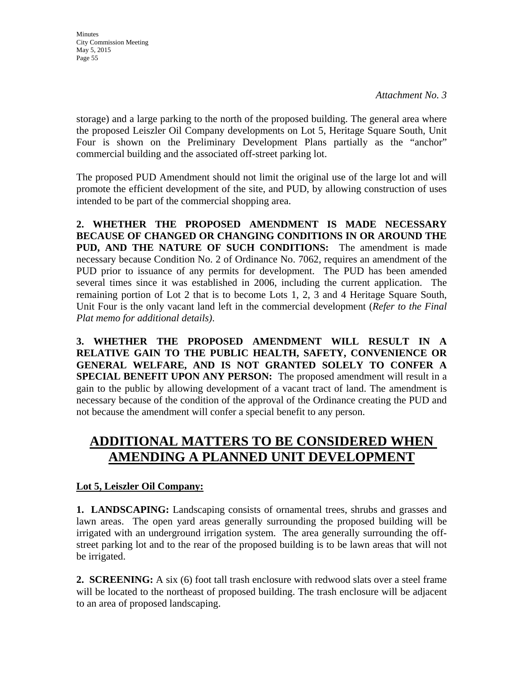storage) and a large parking to the north of the proposed building. The general area where the proposed Leiszler Oil Company developments on Lot 5, Heritage Square South, Unit Four is shown on the Preliminary Development Plans partially as the "anchor" commercial building and the associated off-street parking lot.

The proposed PUD Amendment should not limit the original use of the large lot and will promote the efficient development of the site, and PUD, by allowing construction of uses intended to be part of the commercial shopping area.

**2. WHETHER THE PROPOSED AMENDMENT IS MADE NECESSARY BECAUSE OF CHANGED OR CHANGING CONDITIONS IN OR AROUND THE PUD, AND THE NATURE OF SUCH CONDITIONS:** The amendment is made necessary because Condition No. 2 of Ordinance No. 7062, requires an amendment of the PUD prior to issuance of any permits for development. The PUD has been amended several times since it was established in 2006, including the current application. The remaining portion of Lot 2 that is to become Lots 1, 2, 3 and 4 Heritage Square South, Unit Four is the only vacant land left in the commercial development (*Refer to the Final Plat memo for additional details)*.

**3. WHETHER THE PROPOSED AMENDMENT WILL RESULT IN A RELATIVE GAIN TO THE PUBLIC HEALTH, SAFETY, CONVENIENCE OR GENERAL WELFARE, AND IS NOT GRANTED SOLELY TO CONFER A SPECIAL BENEFIT UPON ANY PERSON:** The proposed amendment will result in a gain to the public by allowing development of a vacant tract of land. The amendment is necessary because of the condition of the approval of the Ordinance creating the PUD and not because the amendment will confer a special benefit to any person.

# **ADDITIONAL MATTERS TO BE CONSIDERED WHEN AMENDING A PLANNED UNIT DEVELOPMENT**

### **Lot 5, Leiszler Oil Company:**

**1. LANDSCAPING:** Landscaping consists of ornamental trees, shrubs and grasses and lawn areas. The open yard areas generally surrounding the proposed building will be irrigated with an underground irrigation system. The area generally surrounding the offstreet parking lot and to the rear of the proposed building is to be lawn areas that will not be irrigated.

**2. SCREENING:** A six (6) foot tall trash enclosure with redwood slats over a steel frame will be located to the northeast of proposed building. The trash enclosure will be adjacent to an area of proposed landscaping.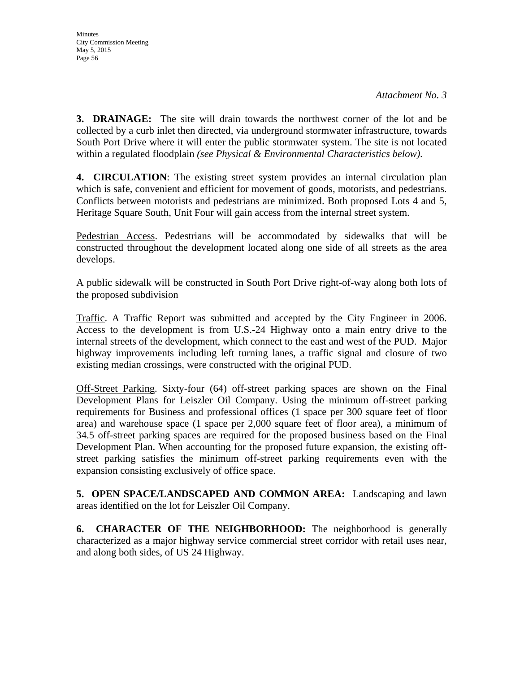**3. DRAINAGE:** The site will drain towards the northwest corner of the lot and be collected by a curb inlet then directed, via underground stormwater infrastructure, towards South Port Drive where it will enter the public stormwater system. The site is not located within a regulated floodplain *(see Physical & Environmental Characteristics below)*.

**4. CIRCULATION**: The existing street system provides an internal circulation plan which is safe, convenient and efficient for movement of goods, motorists, and pedestrians. Conflicts between motorists and pedestrians are minimized. Both proposed Lots 4 and 5, Heritage Square South, Unit Four will gain access from the internal street system.

Pedestrian Access. Pedestrians will be accommodated by sidewalks that will be constructed throughout the development located along one side of all streets as the area develops.

A public sidewalk will be constructed in South Port Drive right-of-way along both lots of the proposed subdivision

Traffic. A Traffic Report was submitted and accepted by the City Engineer in 2006. Access to the development is from U.S.-24 Highway onto a main entry drive to the internal streets of the development, which connect to the east and west of the PUD. Major highway improvements including left turning lanes, a traffic signal and closure of two existing median crossings, were constructed with the original PUD.

Off-Street Parking. Sixty-four (64) off-street parking spaces are shown on the Final Development Plans for Leiszler Oil Company. Using the minimum off-street parking requirements for Business and professional offices (1 space per 300 square feet of floor area) and warehouse space (1 space per 2,000 square feet of floor area), a minimum of 34.5 off-street parking spaces are required for the proposed business based on the Final Development Plan. When accounting for the proposed future expansion, the existing offstreet parking satisfies the minimum off-street parking requirements even with the expansion consisting exclusively of office space.

**5. OPEN SPACE/LANDSCAPED AND COMMON AREA:** Landscaping and lawn areas identified on the lot for Leiszler Oil Company.

**6. CHARACTER OF THE NEIGHBORHOOD:** The neighborhood is generally characterized as a major highway service commercial street corridor with retail uses near, and along both sides, of US 24 Highway.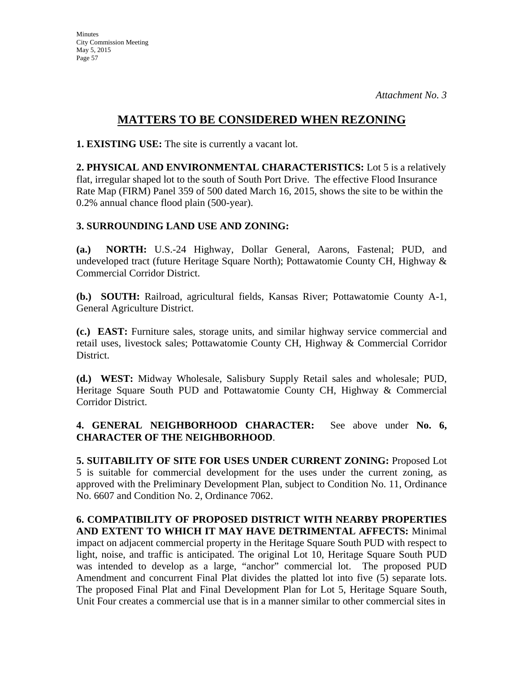# **MATTERS TO BE CONSIDERED WHEN REZONING**

**1. EXISTING USE:** The site is currently a vacant lot.

**2. PHYSICAL AND ENVIRONMENTAL CHARACTERISTICS:** Lot 5 is a relatively flat, irregular shaped lot to the south of South Port Drive. The effective Flood Insurance Rate Map (FIRM) Panel 359 of 500 dated March 16, 2015, shows the site to be within the 0.2% annual chance flood plain (500-year).

## **3. SURROUNDING LAND USE AND ZONING:**

**(a.) NORTH:** U.S.-24 Highway, Dollar General, Aarons, Fastenal; PUD, and undeveloped tract (future Heritage Square North); Pottawatomie County CH, Highway & Commercial Corridor District.

**(b.) SOUTH:** Railroad, agricultural fields, Kansas River; Pottawatomie County A-1, General Agriculture District.

**(c.) EAST:** Furniture sales, storage units, and similar highway service commercial and retail uses, livestock sales; Pottawatomie County CH, Highway & Commercial Corridor District.

**(d.) WEST:** Midway Wholesale, Salisbury Supply Retail sales and wholesale; PUD, Heritage Square South PUD and Pottawatomie County CH, Highway & Commercial Corridor District.

**4. GENERAL NEIGHBORHOOD CHARACTER:** See above under **No. 6, CHARACTER OF THE NEIGHBORHOOD**.

**5. SUITABILITY OF SITE FOR USES UNDER CURRENT ZONING:** Proposed Lot 5 is suitable for commercial development for the uses under the current zoning, as approved with the Preliminary Development Plan, subject to Condition No. 11, Ordinance No. 6607 and Condition No. 2, Ordinance 7062.

**6. COMPATIBILITY OF PROPOSED DISTRICT WITH NEARBY PROPERTIES AND EXTENT TO WHICH IT MAY HAVE DETRIMENTAL AFFECTS:** Minimal impact on adjacent commercial property in the Heritage Square South PUD with respect to light, noise, and traffic is anticipated. The original Lot 10, Heritage Square South PUD was intended to develop as a large, "anchor" commercial lot. The proposed PUD Amendment and concurrent Final Plat divides the platted lot into five (5) separate lots. The proposed Final Plat and Final Development Plan for Lot 5, Heritage Square South, Unit Four creates a commercial use that is in a manner similar to other commercial sites in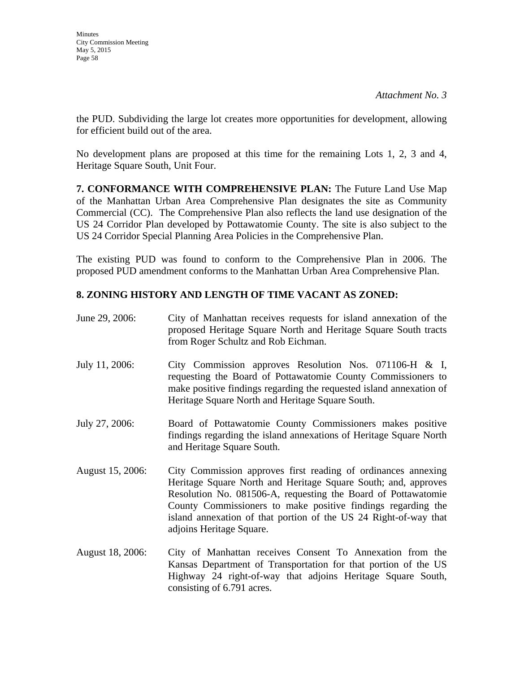the PUD. Subdividing the large lot creates more opportunities for development, allowing for efficient build out of the area.

No development plans are proposed at this time for the remaining Lots 1, 2, 3 and 4, Heritage Square South, Unit Four.

**7. CONFORMANCE WITH COMPREHENSIVE PLAN:** The Future Land Use Map of the Manhattan Urban Area Comprehensive Plan designates the site as Community Commercial (CC). The Comprehensive Plan also reflects the land use designation of the US 24 Corridor Plan developed by Pottawatomie County. The site is also subject to the US 24 Corridor Special Planning Area Policies in the Comprehensive Plan.

The existing PUD was found to conform to the Comprehensive Plan in 2006. The proposed PUD amendment conforms to the Manhattan Urban Area Comprehensive Plan.

## **8. ZONING HISTORY AND LENGTH OF TIME VACANT AS ZONED:**

| June 29, 2006:   | City of Manhattan receives requests for island annexation of the<br>proposed Heritage Square North and Heritage Square South tracts<br>from Roger Schultz and Rob Eichman.                                                                                                                                                                                       |
|------------------|------------------------------------------------------------------------------------------------------------------------------------------------------------------------------------------------------------------------------------------------------------------------------------------------------------------------------------------------------------------|
| July 11, 2006:   | City Commission approves Resolution Nos. 071106-H $\&$ I,<br>requesting the Board of Pottawatomie County Commissioners to<br>make positive findings regarding the requested island annexation of<br>Heritage Square North and Heritage Square South.                                                                                                             |
| July 27, 2006:   | Board of Pottawatomie County Commissioners makes positive<br>findings regarding the island annexations of Heritage Square North<br>and Heritage Square South.                                                                                                                                                                                                    |
| August 15, 2006: | City Commission approves first reading of ordinances annexing<br>Heritage Square North and Heritage Square South; and, approves<br>Resolution No. 081506-A, requesting the Board of Pottawatomie<br>County Commissioners to make positive findings regarding the<br>island annexation of that portion of the US 24 Right-of-way that<br>adjoins Heritage Square. |
| August 18, 2006: | City of Manhattan receives Consent To Annexation from the<br>Kansas Department of Transportation for that portion of the US<br>Highway 24 right-of-way that adjoins Heritage Square South,<br>consisting of 6.791 acres.                                                                                                                                         |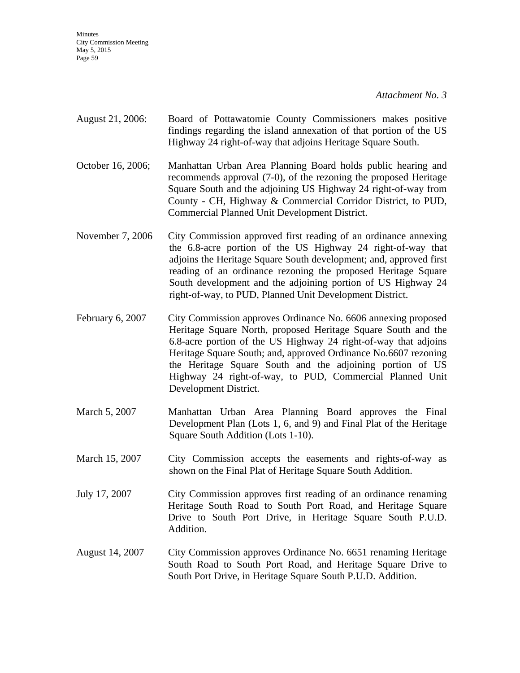*Attachment No. 3* 

- August 21, 2006: Board of Pottawatomie County Commissioners makes positive findings regarding the island annexation of that portion of the US Highway 24 right-of-way that adjoins Heritage Square South.
- October 16, 2006; Manhattan Urban Area Planning Board holds public hearing and recommends approval (7-0), of the rezoning the proposed Heritage Square South and the adjoining US Highway 24 right-of-way from County - CH, Highway & Commercial Corridor District, to PUD, Commercial Planned Unit Development District.
- November 7, 2006 City Commission approved first reading of an ordinance annexing the 6.8-acre portion of the US Highway 24 right-of-way that adjoins the Heritage Square South development; and, approved first reading of an ordinance rezoning the proposed Heritage Square South development and the adjoining portion of US Highway 24 right-of-way, to PUD, Planned Unit Development District.
- February 6, 2007 City Commission approves Ordinance No. 6606 annexing proposed Heritage Square North, proposed Heritage Square South and the 6.8-acre portion of the US Highway 24 right-of-way that adjoins Heritage Square South; and, approved Ordinance No.6607 rezoning the Heritage Square South and the adjoining portion of US Highway 24 right-of-way, to PUD, Commercial Planned Unit Development District.
- March 5, 2007 Manhattan Urban Area Planning Board approves the Final Development Plan (Lots 1, 6, and 9) and Final Plat of the Heritage Square South Addition (Lots 1-10).
- March 15, 2007 City Commission accepts the easements and rights-of-way as shown on the Final Plat of Heritage Square South Addition.
- July 17, 2007 City Commission approves first reading of an ordinance renaming Heritage South Road to South Port Road, and Heritage Square Drive to South Port Drive, in Heritage Square South P.U.D. Addition.
- August 14, 2007 City Commission approves Ordinance No. 6651 renaming Heritage South Road to South Port Road, and Heritage Square Drive to South Port Drive, in Heritage Square South P.U.D. Addition.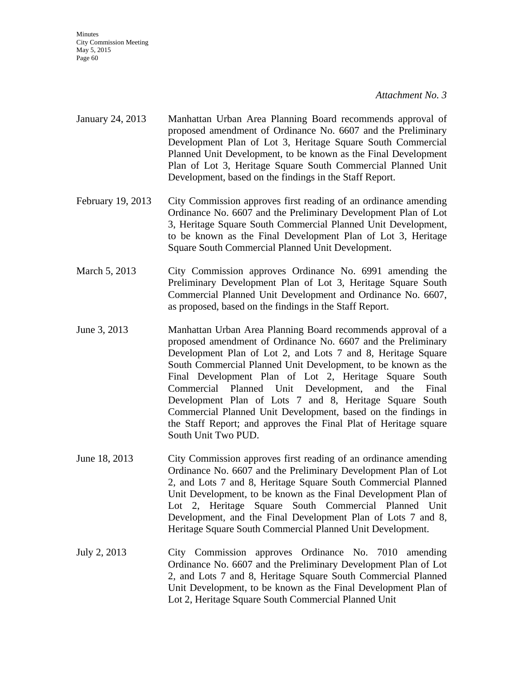#### *Attachment No. 3*

- January 24, 2013 Manhattan Urban Area Planning Board recommends approval of proposed amendment of Ordinance No. 6607 and the Preliminary Development Plan of Lot 3, Heritage Square South Commercial Planned Unit Development, to be known as the Final Development Plan of Lot 3, Heritage Square South Commercial Planned Unit Development, based on the findings in the Staff Report.
- February 19, 2013 City Commission approves first reading of an ordinance amending Ordinance No. 6607 and the Preliminary Development Plan of Lot 3, Heritage Square South Commercial Planned Unit Development, to be known as the Final Development Plan of Lot 3, Heritage Square South Commercial Planned Unit Development.
- March 5, 2013 City Commission approves Ordinance No. 6991 amending the Preliminary Development Plan of Lot 3, Heritage Square South Commercial Planned Unit Development and Ordinance No. 6607, as proposed, based on the findings in the Staff Report.
- June 3, 2013 Manhattan Urban Area Planning Board recommends approval of a proposed amendment of Ordinance No. 6607 and the Preliminary Development Plan of Lot 2, and Lots 7 and 8, Heritage Square South Commercial Planned Unit Development, to be known as the Final Development Plan of Lot 2, Heritage Square South Commercial Planned Unit Development, and the Final Development Plan of Lots 7 and 8, Heritage Square South Commercial Planned Unit Development, based on the findings in the Staff Report; and approves the Final Plat of Heritage square South Unit Two PUD.
- June 18, 2013 City Commission approves first reading of an ordinance amending Ordinance No. 6607 and the Preliminary Development Plan of Lot 2, and Lots 7 and 8, Heritage Square South Commercial Planned Unit Development, to be known as the Final Development Plan of Lot 2, Heritage Square South Commercial Planned Unit Development, and the Final Development Plan of Lots 7 and 8, Heritage Square South Commercial Planned Unit Development.
- July 2, 2013 City Commission approves Ordinance No. 7010 amending Ordinance No. 6607 and the Preliminary Development Plan of Lot 2, and Lots 7 and 8, Heritage Square South Commercial Planned Unit Development, to be known as the Final Development Plan of Lot 2, Heritage Square South Commercial Planned Unit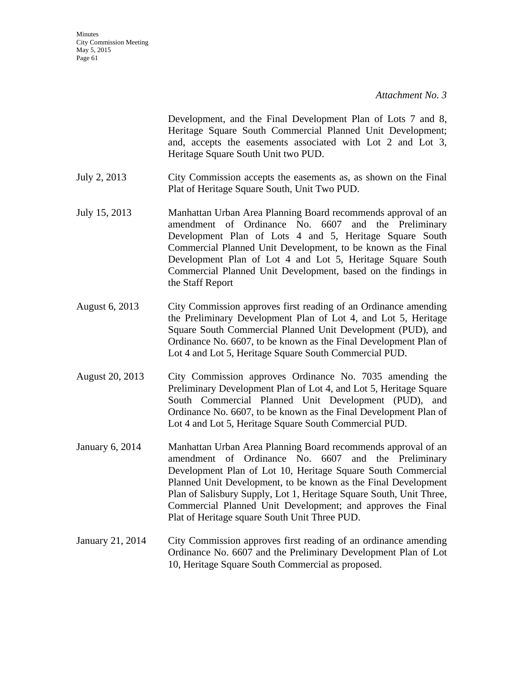Development, and the Final Development Plan of Lots 7 and 8, Heritage Square South Commercial Planned Unit Development; and, accepts the easements associated with Lot 2 and Lot 3, Heritage Square South Unit two PUD.

- July 2, 2013 City Commission accepts the easements as, as shown on the Final Plat of Heritage Square South, Unit Two PUD.
- July 15, 2013 Manhattan Urban Area Planning Board recommends approval of an amendment of Ordinance No. 6607 and the Preliminary Development Plan of Lots 4 and 5, Heritage Square South Commercial Planned Unit Development, to be known as the Final Development Plan of Lot 4 and Lot 5, Heritage Square South Commercial Planned Unit Development, based on the findings in the Staff Report
- August 6, 2013 City Commission approves first reading of an Ordinance amending the Preliminary Development Plan of Lot 4, and Lot 5, Heritage Square South Commercial Planned Unit Development (PUD), and Ordinance No. 6607, to be known as the Final Development Plan of Lot 4 and Lot 5, Heritage Square South Commercial PUD.
- August 20, 2013 City Commission approves Ordinance No. 7035 amending the Preliminary Development Plan of Lot 4, and Lot 5, Heritage Square South Commercial Planned Unit Development (PUD), and Ordinance No. 6607, to be known as the Final Development Plan of Lot 4 and Lot 5, Heritage Square South Commercial PUD.
- January 6, 2014 Manhattan Urban Area Planning Board recommends approval of an amendment of Ordinance No. 6607 and the Preliminary Development Plan of Lot 10, Heritage Square South Commercial Planned Unit Development, to be known as the Final Development Plan of Salisbury Supply, Lot 1, Heritage Square South, Unit Three, Commercial Planned Unit Development; and approves the Final Plat of Heritage square South Unit Three PUD.
- January 21, 2014 City Commission approves first reading of an ordinance amending Ordinance No. 6607 and the Preliminary Development Plan of Lot 10, Heritage Square South Commercial as proposed.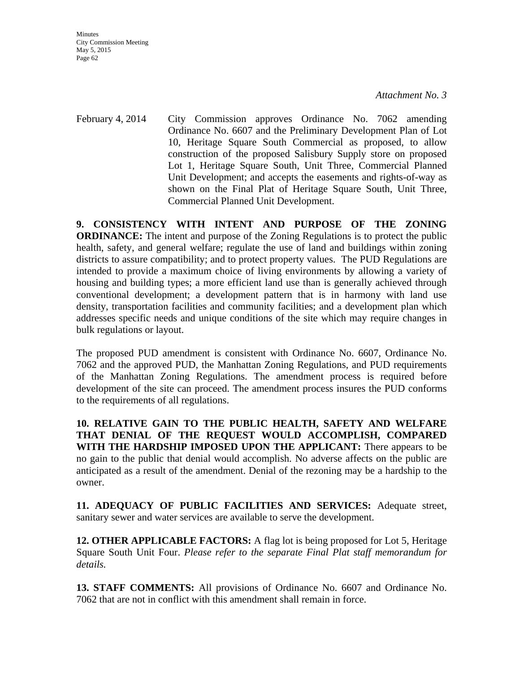February 4, 2014 City Commission approves Ordinance No. 7062 amending Ordinance No. 6607 and the Preliminary Development Plan of Lot 10, Heritage Square South Commercial as proposed, to allow construction of the proposed Salisbury Supply store on proposed Lot 1, Heritage Square South, Unit Three, Commercial Planned Unit Development; and accepts the easements and rights-of-way as shown on the Final Plat of Heritage Square South, Unit Three, Commercial Planned Unit Development.

**9. CONSISTENCY WITH INTENT AND PURPOSE OF THE ZONING ORDINANCE:** The intent and purpose of the Zoning Regulations is to protect the public health, safety, and general welfare; regulate the use of land and buildings within zoning districts to assure compatibility; and to protect property values. The PUD Regulations are intended to provide a maximum choice of living environments by allowing a variety of housing and building types; a more efficient land use than is generally achieved through conventional development; a development pattern that is in harmony with land use density, transportation facilities and community facilities; and a development plan which addresses specific needs and unique conditions of the site which may require changes in bulk regulations or layout.

The proposed PUD amendment is consistent with Ordinance No. 6607, Ordinance No. 7062 and the approved PUD, the Manhattan Zoning Regulations, and PUD requirements of the Manhattan Zoning Regulations. The amendment process is required before development of the site can proceed. The amendment process insures the PUD conforms to the requirements of all regulations.

**10. RELATIVE GAIN TO THE PUBLIC HEALTH, SAFETY AND WELFARE THAT DENIAL OF THE REQUEST WOULD ACCOMPLISH, COMPARED WITH THE HARDSHIP IMPOSED UPON THE APPLICANT:** There appears to be no gain to the public that denial would accomplish. No adverse affects on the public are anticipated as a result of the amendment. Denial of the rezoning may be a hardship to the owner.

**11. ADEQUACY OF PUBLIC FACILITIES AND SERVICES:** Adequate street, sanitary sewer and water services are available to serve the development.

**12. OTHER APPLICABLE FACTORS:** A flag lot is being proposed for Lot 5, Heritage Square South Unit Four. *Please refer to the separate Final Plat staff memorandum for details.* 

**13. STAFF COMMENTS:** All provisions of Ordinance No. 6607 and Ordinance No. 7062 that are not in conflict with this amendment shall remain in force.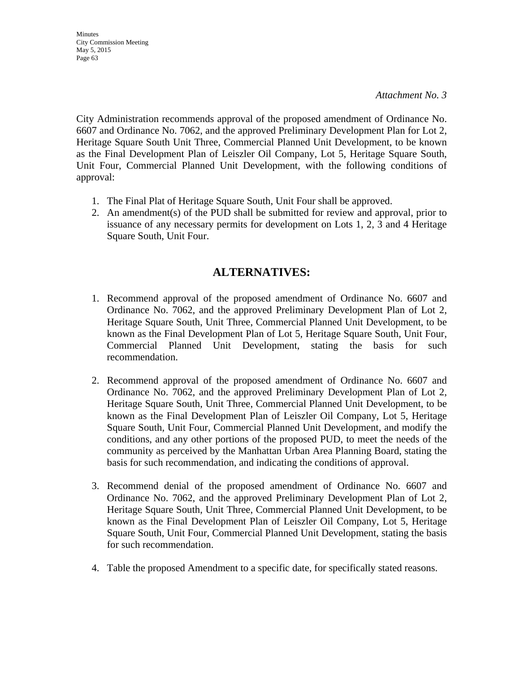**Minutes** City Commission Meeting May 5, 2015 Page 63

City Administration recommends approval of the proposed amendment of Ordinance No. 6607 and Ordinance No. 7062, and the approved Preliminary Development Plan for Lot 2, Heritage Square South Unit Three, Commercial Planned Unit Development, to be known as the Final Development Plan of Leiszler Oil Company, Lot 5, Heritage Square South, Unit Four, Commercial Planned Unit Development, with the following conditions of approval:

- 1. The Final Plat of Heritage Square South, Unit Four shall be approved.
- 2. An amendment(s) of the PUD shall be submitted for review and approval, prior to issuance of any necessary permits for development on Lots 1, 2, 3 and 4 Heritage Square South, Unit Four.

# **ALTERNATIVES:**

- 1. Recommend approval of the proposed amendment of Ordinance No. 6607 and Ordinance No. 7062, and the approved Preliminary Development Plan of Lot 2, Heritage Square South, Unit Three, Commercial Planned Unit Development, to be known as the Final Development Plan of Lot 5, Heritage Square South, Unit Four, Commercial Planned Unit Development, stating the basis for such recommendation.
- 2. Recommend approval of the proposed amendment of Ordinance No. 6607 and Ordinance No. 7062, and the approved Preliminary Development Plan of Lot 2, Heritage Square South, Unit Three, Commercial Planned Unit Development, to be known as the Final Development Plan of Leiszler Oil Company, Lot 5, Heritage Square South, Unit Four, Commercial Planned Unit Development, and modify the conditions, and any other portions of the proposed PUD, to meet the needs of the community as perceived by the Manhattan Urban Area Planning Board, stating the basis for such recommendation, and indicating the conditions of approval.
- 3. Recommend denial of the proposed amendment of Ordinance No. 6607 and Ordinance No. 7062, and the approved Preliminary Development Plan of Lot 2, Heritage Square South, Unit Three, Commercial Planned Unit Development, to be known as the Final Development Plan of Leiszler Oil Company, Lot 5, Heritage Square South, Unit Four, Commercial Planned Unit Development, stating the basis for such recommendation.
- 4. Table the proposed Amendment to a specific date, for specifically stated reasons.